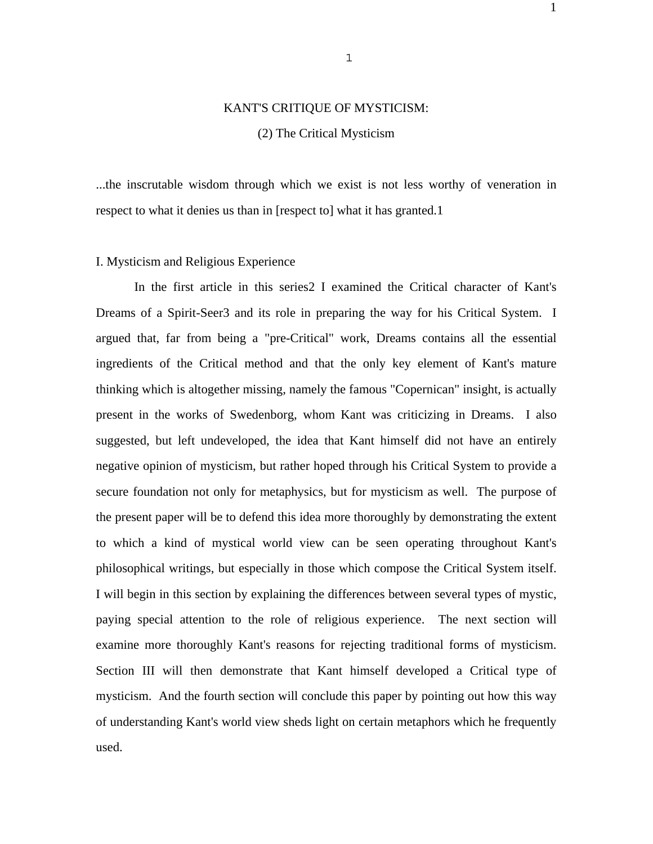# KANT'S CRITIQUE OF MYSTICISM:

(2) The Critical Mysticism

...the inscrutable wisdom through which we exist is not less worthy of veneration in respect to what it denies us than in [respect to] what it has granted.1

## I. Mysticism and Religious Experience

 $\sim$  1

 In the first article in this series2 I examined the Critical character of Kant's Dreams of a Spirit-Seer3 and its role in preparing the way for his Critical System. I argued that, far from being a "pre-Critical" work, Dreams contains all the essential ingredients of the Critical method and that the only key element of Kant's mature thinking which is altogether missing, namely the famous "Copernican" insight, is actually present in the works of Swedenborg, whom Kant was criticizing in Dreams. I also suggested, but left undeveloped, the idea that Kant himself did not have an entirely negative opinion of mysticism, but rather hoped through his Critical System to provide a secure foundation not only for metaphysics, but for mysticism as well. The purpose of the present paper will be to defend this idea more thoroughly by demonstrating the extent to which a kind of mystical world view can be seen operating throughout Kant's philosophical writings, but especially in those which compose the Critical System itself. I will begin in this section by explaining the differences between several types of mystic, paying special attention to the role of religious experience. The next section will examine more thoroughly Kant's reasons for rejecting traditional forms of mysticism. Section III will then demonstrate that Kant himself developed a Critical type of mysticism. And the fourth section will conclude this paper by pointing out how this way of understanding Kant's world view sheds light on certain metaphors which he frequently used.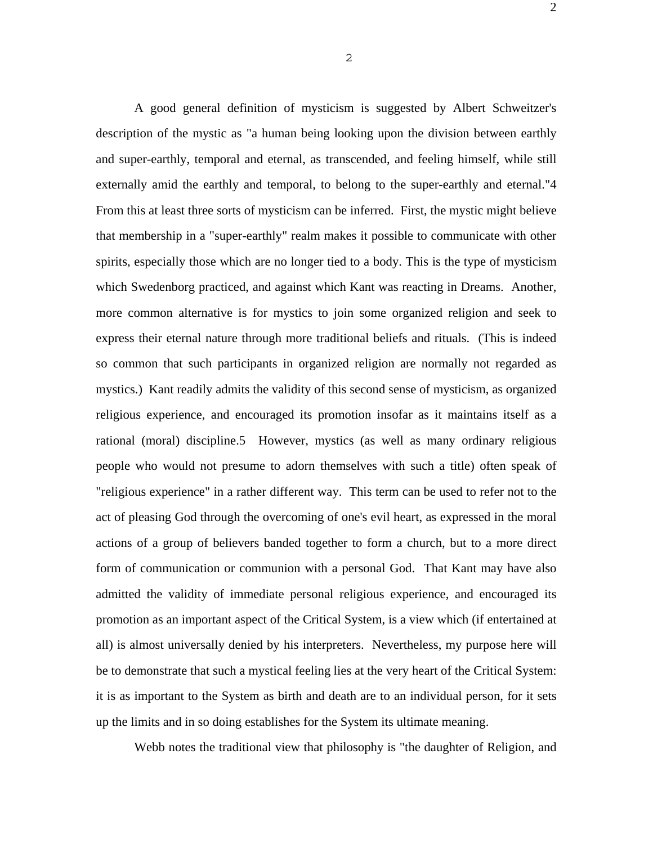A good general definition of mysticism is suggested by Albert Schweitzer's description of the mystic as "a human being looking upon the division between earthly and super-earthly, temporal and eternal, as transcended, and feeling himself, while still externally amid the earthly and temporal, to belong to the super-earthly and eternal."4 From this at least three sorts of mysticism can be inferred. First, the mystic might believe that membership in a "super-earthly" realm makes it possible to communicate with other spirits, especially those which are no longer tied to a body. This is the type of mysticism which Swedenborg practiced, and against which Kant was reacting in Dreams. Another, more common alternative is for mystics to join some organized religion and seek to express their eternal nature through more traditional beliefs and rituals. (This is indeed so common that such participants in organized religion are normally not regarded as mystics.) Kant readily admits the validity of this second sense of mysticism, as organized religious experience, and encouraged its promotion insofar as it maintains itself as a rational (moral) discipline.5 However, mystics (as well as many ordinary religious people who would not presume to adorn themselves with such a title) often speak of "religious experience" in a rather different way. This term can be used to refer not to the act of pleasing God through the overcoming of one's evil heart, as expressed in the moral actions of a group of believers banded together to form a church, but to a more direct form of communication or communion with a personal God. That Kant may have also admitted the validity of immediate personal religious experience, and encouraged its promotion as an important aspect of the Critical System, is a view which (if entertained at all) is almost universally denied by his interpreters. Nevertheless, my purpose here will be to demonstrate that such a mystical feeling lies at the very heart of the Critical System: it is as important to the System as birth and death are to an individual person, for it sets up the limits and in so doing establishes for the System its ultimate meaning.

Webb notes the traditional view that philosophy is "the daughter of Religion, and

2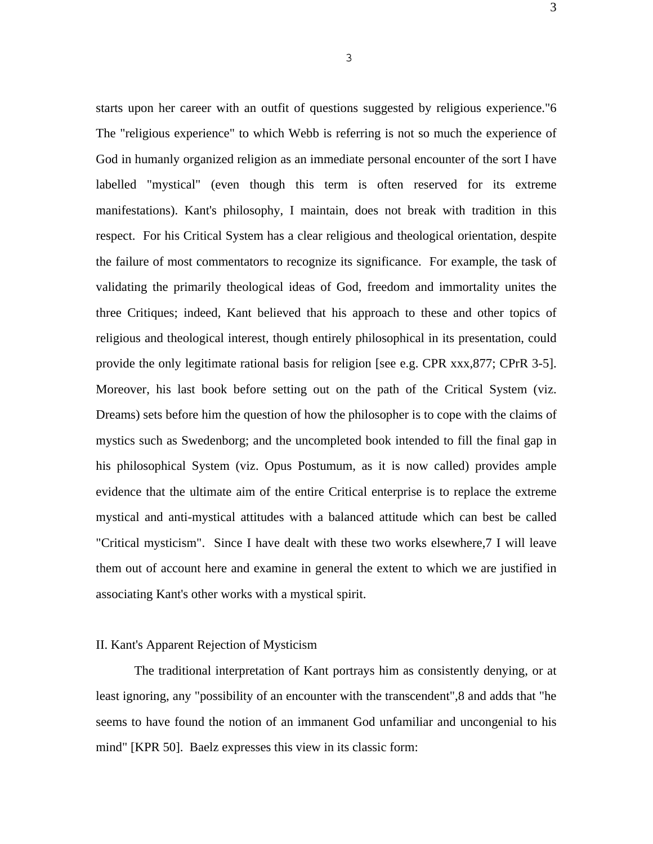starts upon her career with an outfit of questions suggested by religious experience."6 The "religious experience" to which Webb is referring is not so much the experience of God in humanly organized religion as an immediate personal encounter of the sort I have labelled "mystical" (even though this term is often reserved for its extreme manifestations). Kant's philosophy, I maintain, does not break with tradition in this respect. For his Critical System has a clear religious and theological orientation, despite the failure of most commentators to recognize its significance. For example, the task of validating the primarily theological ideas of God, freedom and immortality unites the three Critiques; indeed, Kant believed that his approach to these and other topics of religious and theological interest, though entirely philosophical in its presentation, could provide the only legitimate rational basis for religion [see e.g. CPR xxx,877; CPrR 3-5]. Moreover, his last book before setting out on the path of the Critical System (viz. Dreams) sets before him the question of how the philosopher is to cope with the claims of mystics such as Swedenborg; and the uncompleted book intended to fill the final gap in his philosophical System (viz. Opus Postumum, as it is now called) provides ample evidence that the ultimate aim of the entire Critical enterprise is to replace the extreme mystical and anti-mystical attitudes with a balanced attitude which can best be called "Critical mysticism". Since I have dealt with these two works elsewhere,7 I will leave them out of account here and examine in general the extent to which we are justified in associating Kant's other works with a mystical spirit.

#### II. Kant's Apparent Rejection of Mysticism

 The traditional interpretation of Kant portrays him as consistently denying, or at least ignoring, any "possibility of an encounter with the transcendent",8 and adds that "he seems to have found the notion of an immanent God unfamiliar and uncongenial to his mind" [KPR 50]. Baelz expresses this view in its classic form:

3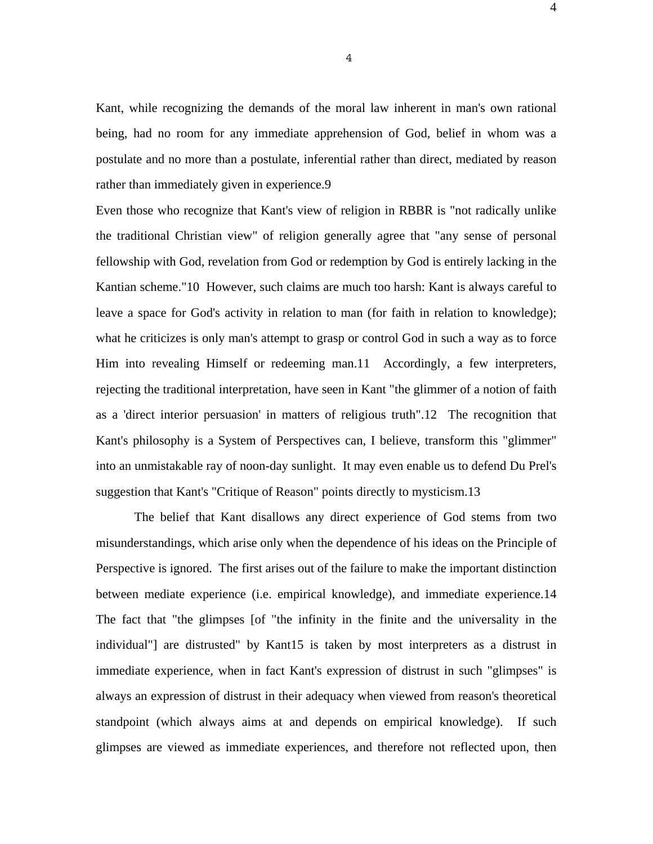Kant, while recognizing the demands of the moral law inherent in man's own rational being, had no room for any immediate apprehension of God, belief in whom was a postulate and no more than a postulate, inferential rather than direct, mediated by reason rather than immediately given in experience.9

Even those who recognize that Kant's view of religion in RBBR is "not radically unlike the traditional Christian view" of religion generally agree that "any sense of personal fellowship with God, revelation from God or redemption by God is entirely lacking in the Kantian scheme."10 However, such claims are much too harsh: Kant is always careful to leave a space for God's activity in relation to man (for faith in relation to knowledge); what he criticizes is only man's attempt to grasp or control God in such a way as to force Him into revealing Himself or redeeming man.11 Accordingly, a few interpreters, rejecting the traditional interpretation, have seen in Kant "the glimmer of a notion of faith as a 'direct interior persuasion' in matters of religious truth".12 The recognition that Kant's philosophy is a System of Perspectives can, I believe, transform this "glimmer" into an unmistakable ray of noon-day sunlight. It may even enable us to defend Du Prel's suggestion that Kant's "Critique of Reason" points directly to mysticism.13

 The belief that Kant disallows any direct experience of God stems from two misunderstandings, which arise only when the dependence of his ideas on the Principle of Perspective is ignored. The first arises out of the failure to make the important distinction between mediate experience (i.e. empirical knowledge), and immediate experience.14 The fact that "the glimpses [of "the infinity in the finite and the universality in the individual"] are distrusted" by Kant15 is taken by most interpreters as a distrust in immediate experience, when in fact Kant's expression of distrust in such "glimpses" is always an expression of distrust in their adequacy when viewed from reason's theoretical standpoint (which always aims at and depends on empirical knowledge). If such glimpses are viewed as immediate experiences, and therefore not reflected upon, then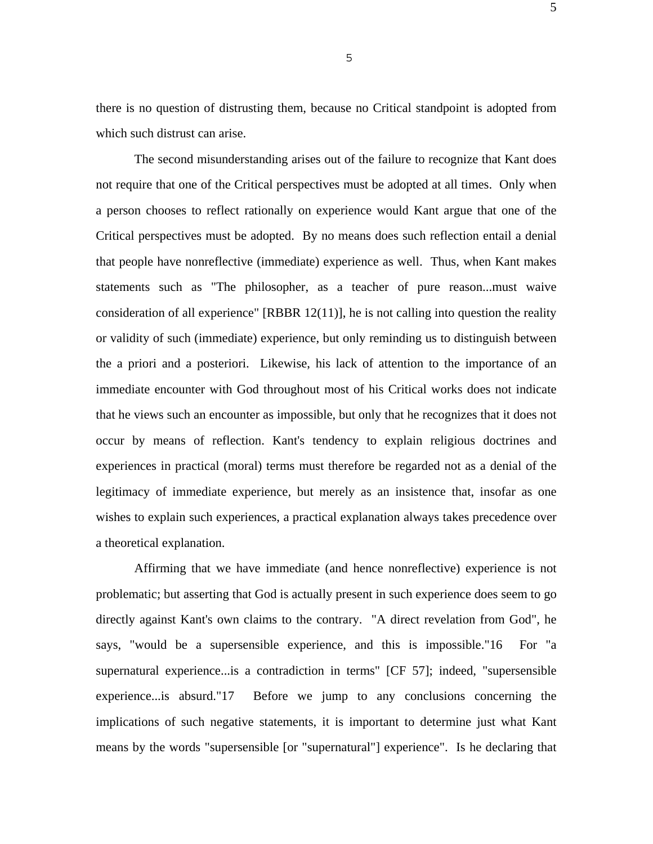there is no question of distrusting them, because no Critical standpoint is adopted from which such distrust can arise.

 The second misunderstanding arises out of the failure to recognize that Kant does not require that one of the Critical perspectives must be adopted at all times. Only when a person chooses to reflect rationally on experience would Kant argue that one of the Critical perspectives must be adopted. By no means does such reflection entail a denial that people have nonreflective (immediate) experience as well. Thus, when Kant makes statements such as "The philosopher, as a teacher of pure reason...must waive consideration of all experience"  $[RBBR 12(11)]$ , he is not calling into question the reality or validity of such (immediate) experience, but only reminding us to distinguish between the a priori and a posteriori. Likewise, his lack of attention to the importance of an immediate encounter with God throughout most of his Critical works does not indicate that he views such an encounter as impossible, but only that he recognizes that it does not occur by means of reflection. Kant's tendency to explain religious doctrines and experiences in practical (moral) terms must therefore be regarded not as a denial of the legitimacy of immediate experience, but merely as an insistence that, insofar as one wishes to explain such experiences, a practical explanation always takes precedence over a theoretical explanation.

 Affirming that we have immediate (and hence nonreflective) experience is not problematic; but asserting that God is actually present in such experience does seem to go directly against Kant's own claims to the contrary. "A direct revelation from God", he says, "would be a supersensible experience, and this is impossible."16 For "a supernatural experience...is a contradiction in terms" [CF 57]; indeed, "supersensible experience...is absurd."17 Before we jump to any conclusions concerning the implications of such negative statements, it is important to determine just what Kant means by the words "supersensible [or "supernatural"] experience". Is he declaring that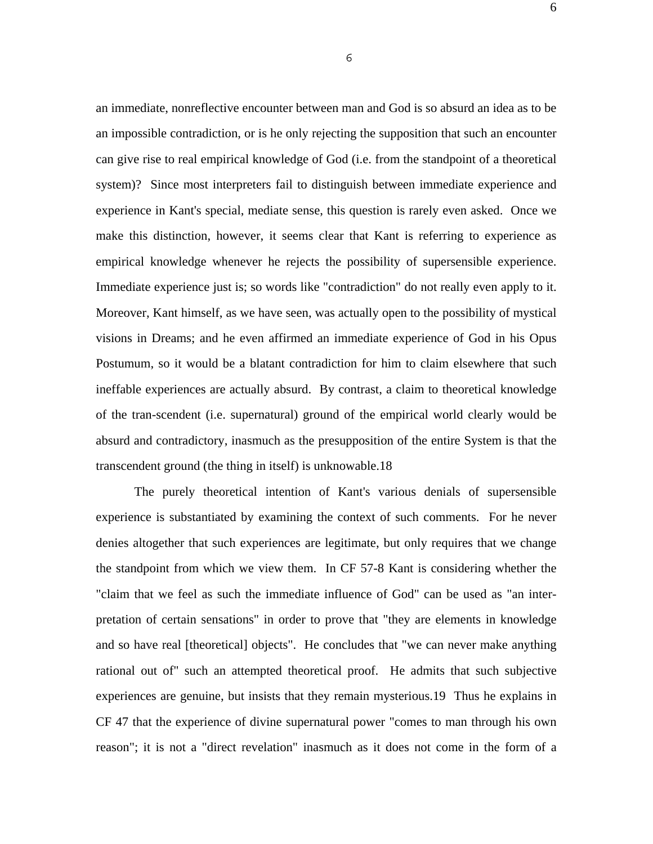an immediate, nonreflective encounter between man and God is so absurd an idea as to be an impossible contradiction, or is he only rejecting the supposition that such an encounter can give rise to real empirical knowledge of God (i.e. from the standpoint of a theoretical system)? Since most interpreters fail to distinguish between immediate experience and experience in Kant's special, mediate sense, this question is rarely even asked. Once we make this distinction, however, it seems clear that Kant is referring to experience as empirical knowledge whenever he rejects the possibility of supersensible experience. Immediate experience just is; so words like "contradiction" do not really even apply to it. Moreover, Kant himself, as we have seen, was actually open to the possibility of mystical visions in Dreams; and he even affirmed an immediate experience of God in his Opus Postumum, so it would be a blatant contradiction for him to claim elsewhere that such ineffable experiences are actually absurd. By contrast, a claim to theoretical knowledge of the tran-scendent (i.e. supernatural) ground of the empirical world clearly would be absurd and contradictory, inasmuch as the presupposition of the entire System is that the transcendent ground (the thing in itself) is unknowable.18

 The purely theoretical intention of Kant's various denials of supersensible experience is substantiated by examining the context of such comments. For he never denies altogether that such experiences are legitimate, but only requires that we change the standpoint from which we view them. In CF 57-8 Kant is considering whether the "claim that we feel as such the immediate influence of God" can be used as "an interpretation of certain sensations" in order to prove that "they are elements in knowledge and so have real [theoretical] objects". He concludes that "we can never make anything rational out of" such an attempted theoretical proof. He admits that such subjective experiences are genuine, but insists that they remain mysterious.19 Thus he explains in CF 47 that the experience of divine supernatural power "comes to man through his own reason"; it is not a "direct revelation" inasmuch as it does not come in the form of a

 $\sim$  6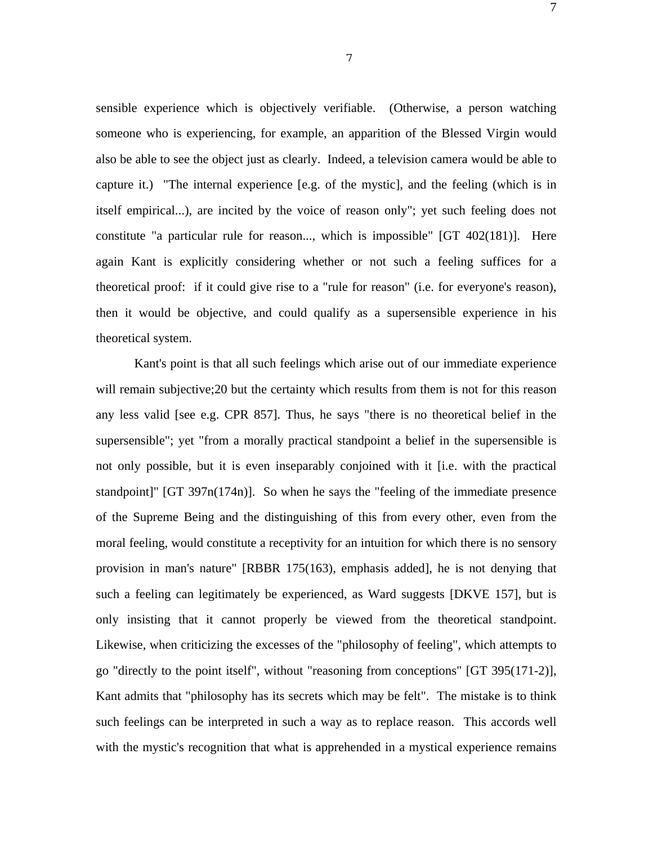sensible experience which is objectively verifiable. (Otherwise, a person watching someone who is experiencing, for example, an apparition of the Blessed Virgin would also be able to see the object just as clearly. Indeed, a television camera would be able to capture it.) "The internal experience [e.g. of the mystic], and the feeling (which is in itself empirical...), are incited by the voice of reason only"; yet such feeling does not constitute "a particular rule for reason..., which is impossible" [GT 402(181)]. Here again Kant is explicitly considering whether or not such a feeling suffices for a theoretical proof: if it could give rise to a "rule for reason" (i.e. for everyone's reason), then it would be objective, and could qualify as a supersensible experience in his theoretical system.

 Kant's point is that all such feelings which arise out of our immediate experience will remain subjective; 20 but the certainty which results from them is not for this reason any less valid [see e.g. CPR 857]. Thus, he says "there is no theoretical belief in the supersensible"; yet "from a morally practical standpoint a belief in the supersensible is not only possible, but it is even inseparably conjoined with it [i.e. with the practical standpoint]" [GT 397n(174n)]. So when he says the "feeling of the immediate presence of the Supreme Being and the distinguishing of this from every other, even from the moral feeling, would constitute a receptivity for an intuition for which there is no sensory provision in man's nature" [RBBR 175(163), emphasis added], he is not denying that such a feeling can legitimately be experienced, as Ward suggests [DKVE 157], but is only insisting that it cannot properly be viewed from the theoretical standpoint. Likewise, when criticizing the excesses of the "philosophy of feeling", which attempts to go "directly to the point itself", without "reasoning from conceptions" [GT 395(171-2)], Kant admits that "philosophy has its secrets which may be felt". The mistake is to think such feelings can be interpreted in such a way as to replace reason. This accords well with the mystic's recognition that what is apprehended in a mystical experience remains

7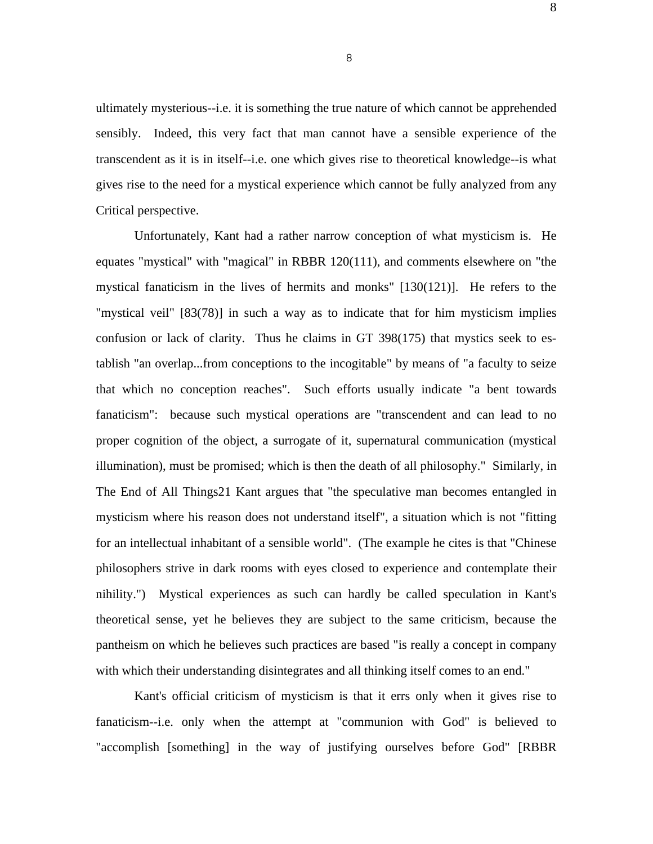ultimately mysterious--i.e. it is something the true nature of which cannot be apprehended sensibly. Indeed, this very fact that man cannot have a sensible experience of the transcendent as it is in itself--i.e. one which gives rise to theoretical knowledge--is what gives rise to the need for a mystical experience which cannot be fully analyzed from any Critical perspective.

 Unfortunately, Kant had a rather narrow conception of what mysticism is. He equates "mystical" with "magical" in RBBR 120(111), and comments elsewhere on "the mystical fanaticism in the lives of hermits and monks" [130(121)]. He refers to the "mystical veil" [83(78)] in such a way as to indicate that for him mysticism implies confusion or lack of clarity. Thus he claims in GT 398(175) that mystics seek to establish "an overlap...from conceptions to the incogitable" by means of "a faculty to seize that which no conception reaches". Such efforts usually indicate "a bent towards fanaticism": because such mystical operations are "transcendent and can lead to no proper cognition of the object, a surrogate of it, supernatural communication (mystical illumination), must be promised; which is then the death of all philosophy." Similarly, in The End of All Things21 Kant argues that "the speculative man becomes entangled in mysticism where his reason does not understand itself", a situation which is not "fitting for an intellectual inhabitant of a sensible world". (The example he cites is that "Chinese philosophers strive in dark rooms with eyes closed to experience and contemplate their nihility.") Mystical experiences as such can hardly be called speculation in Kant's theoretical sense, yet he believes they are subject to the same criticism, because the pantheism on which he believes such practices are based "is really a concept in company with which their understanding disintegrates and all thinking itself comes to an end."

 Kant's official criticism of mysticism is that it errs only when it gives rise to fanaticism--i.e. only when the attempt at "communion with God" is believed to "accomplish [something] in the way of justifying ourselves before God" [RBBR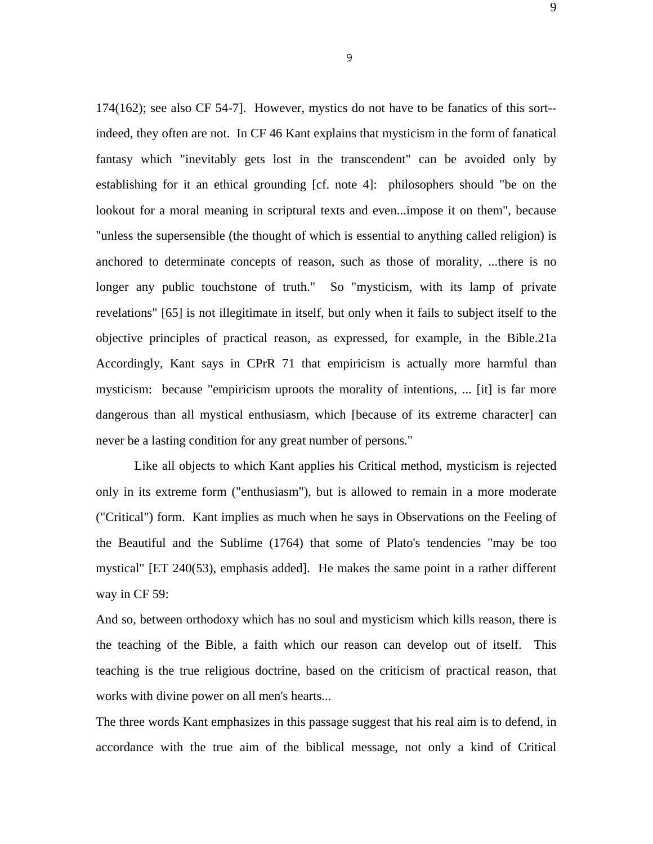174(162); see also CF 54-7]. However, mystics do not have to be fanatics of this sort- indeed, they often are not. In CF 46 Kant explains that mysticism in the form of fanatical fantasy which "inevitably gets lost in the transcendent" can be avoided only by establishing for it an ethical grounding [cf. note 4]: philosophers should "be on the lookout for a moral meaning in scriptural texts and even...impose it on them", because "unless the supersensible (the thought of which is essential to anything called religion) is anchored to determinate concepts of reason, such as those of morality, ...there is no longer any public touchstone of truth." So "mysticism, with its lamp of private revelations" [65] is not illegitimate in itself, but only when it fails to subject itself to the objective principles of practical reason, as expressed, for example, in the Bible.21a Accordingly, Kant says in CPrR 71 that empiricism is actually more harmful than mysticism: because "empiricism uproots the morality of intentions, ... [it] is far more dangerous than all mystical enthusiasm, which [because of its extreme character] can never be a lasting condition for any great number of persons."

 Like all objects to which Kant applies his Critical method, mysticism is rejected only in its extreme form ("enthusiasm"), but is allowed to remain in a more moderate ("Critical") form. Kant implies as much when he says in Observations on the Feeling of the Beautiful and the Sublime (1764) that some of Plato's tendencies "may be too mystical" [ET 240(53), emphasis added]. He makes the same point in a rather different way in CF 59:

And so, between orthodoxy which has no soul and mysticism which kills reason, there is the teaching of the Bible, a faith which our reason can develop out of itself. This teaching is the true religious doctrine, based on the criticism of practical reason, that works with divine power on all men's hearts...

The three words Kant emphasizes in this passage suggest that his real aim is to defend, in accordance with the true aim of the biblical message, not only a kind of Critical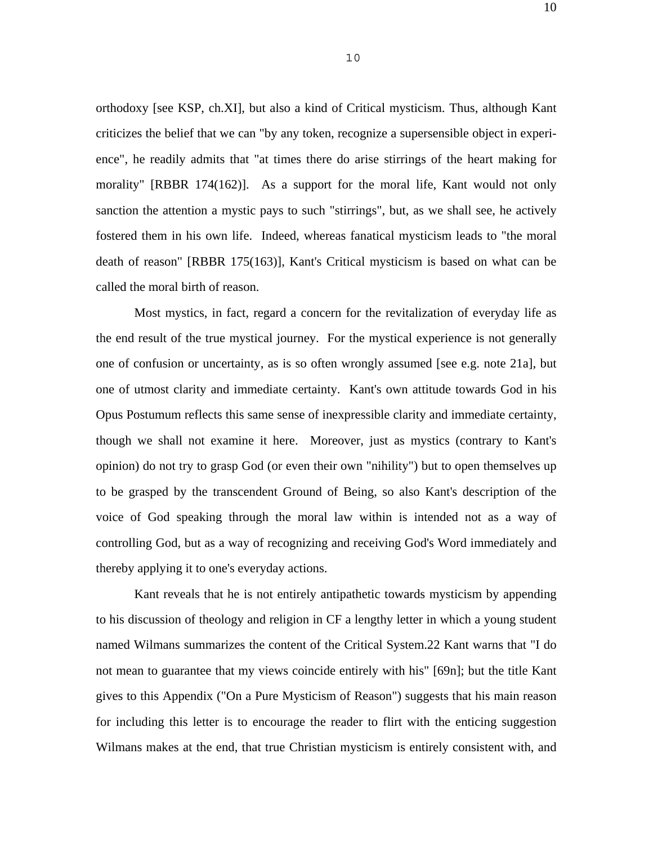orthodoxy [see KSP, ch.XI], but also a kind of Critical mysticism. Thus, although Kant criticizes the belief that we can "by any token, recognize a supersensible object in experience", he readily admits that "at times there do arise stirrings of the heart making for morality" [RBBR 174(162)]. As a support for the moral life, Kant would not only sanction the attention a mystic pays to such "stirrings", but, as we shall see, he actively fostered them in his own life. Indeed, whereas fanatical mysticism leads to "the moral death of reason" [RBBR 175(163)], Kant's Critical mysticism is based on what can be called the moral birth of reason.

 Most mystics, in fact, regard a concern for the revitalization of everyday life as the end result of the true mystical journey. For the mystical experience is not generally one of confusion or uncertainty, as is so often wrongly assumed [see e.g. note 21a], but one of utmost clarity and immediate certainty. Kant's own attitude towards God in his Opus Postumum reflects this same sense of inexpressible clarity and immediate certainty, though we shall not examine it here. Moreover, just as mystics (contrary to Kant's opinion) do not try to grasp God (or even their own "nihility") but to open themselves up to be grasped by the transcendent Ground of Being, so also Kant's description of the voice of God speaking through the moral law within is intended not as a way of controlling God, but as a way of recognizing and receiving God's Word immediately and thereby applying it to one's everyday actions.

 Kant reveals that he is not entirely antipathetic towards mysticism by appending to his discussion of theology and religion in CF a lengthy letter in which a young student named Wilmans summarizes the content of the Critical System.22 Kant warns that "I do not mean to guarantee that my views coincide entirely with his" [69n]; but the title Kant gives to this Appendix ("On a Pure Mysticism of Reason") suggests that his main reason for including this letter is to encourage the reader to flirt with the enticing suggestion Wilmans makes at the end, that true Christian mysticism is entirely consistent with, and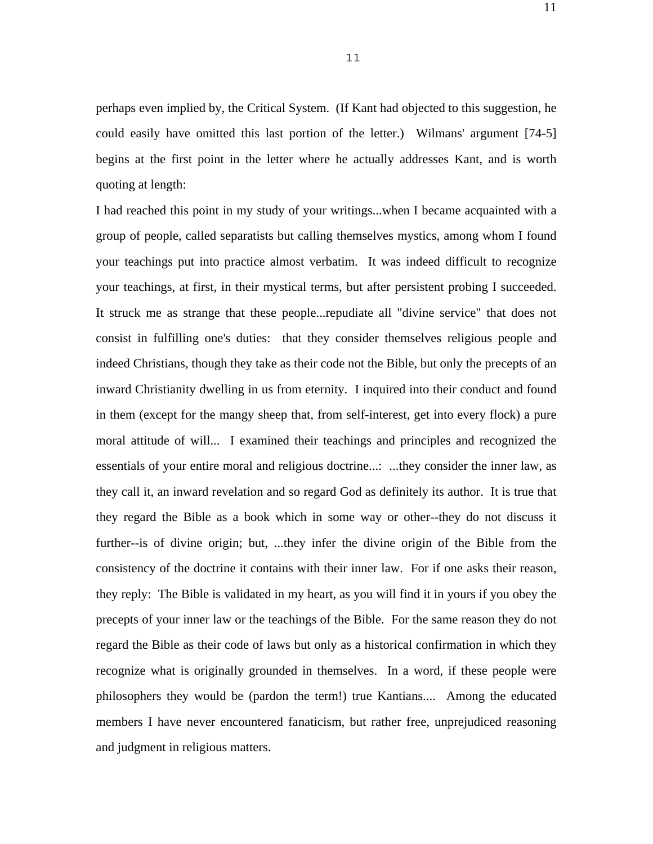perhaps even implied by, the Critical System. (If Kant had objected to this suggestion, he could easily have omitted this last portion of the letter.) Wilmans' argument [74-5] begins at the first point in the letter where he actually addresses Kant, and is worth quoting at length:

I had reached this point in my study of your writings...when I became acquainted with a group of people, called separatists but calling themselves mystics, among whom I found your teachings put into practice almost verbatim. It was indeed difficult to recognize your teachings, at first, in their mystical terms, but after persistent probing I succeeded. It struck me as strange that these people...repudiate all "divine service" that does not consist in fulfilling one's duties: that they consider themselves religious people and indeed Christians, though they take as their code not the Bible, but only the precepts of an inward Christianity dwelling in us from eternity. I inquired into their conduct and found in them (except for the mangy sheep that, from self-interest, get into every flock) a pure moral attitude of will... I examined their teachings and principles and recognized the essentials of your entire moral and religious doctrine...: ...they consider the inner law, as they call it, an inward revelation and so regard God as definitely its author. It is true that they regard the Bible as a book which in some way or other--they do not discuss it further--is of divine origin; but, ...they infer the divine origin of the Bible from the consistency of the doctrine it contains with their inner law. For if one asks their reason, they reply: The Bible is validated in my heart, as you will find it in yours if you obey the precepts of your inner law or the teachings of the Bible. For the same reason they do not regard the Bible as their code of laws but only as a historical confirmation in which they recognize what is originally grounded in themselves. In a word, if these people were philosophers they would be (pardon the term!) true Kantians.... Among the educated members I have never encountered fanaticism, but rather free, unprejudiced reasoning and judgment in religious matters.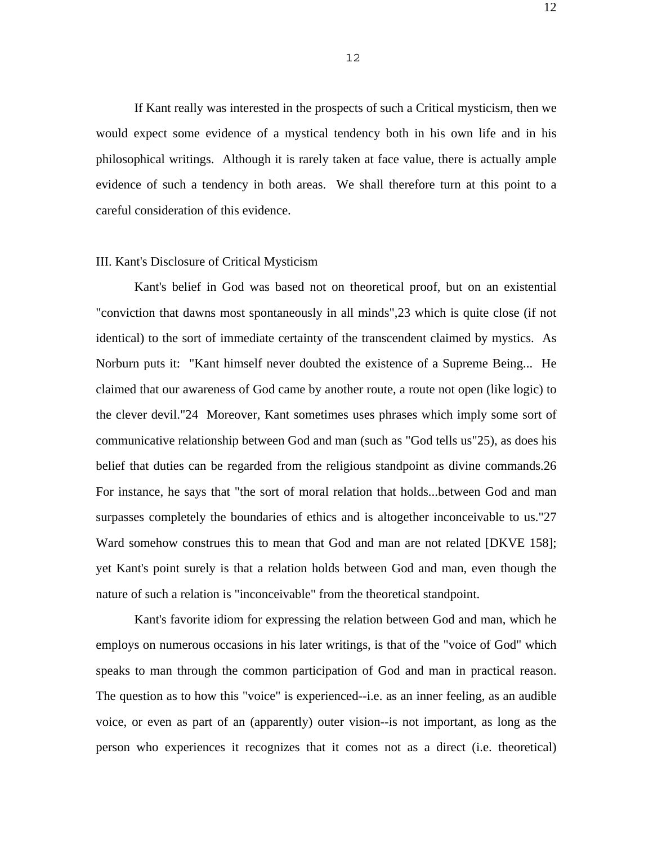If Kant really was interested in the prospects of such a Critical mysticism, then we would expect some evidence of a mystical tendency both in his own life and in his philosophical writings. Although it is rarely taken at face value, there is actually ample evidence of such a tendency in both areas. We shall therefore turn at this point to a careful consideration of this evidence.

## III. Kant's Disclosure of Critical Mysticism

 Kant's belief in God was based not on theoretical proof, but on an existential "conviction that dawns most spontaneously in all minds",23 which is quite close (if not identical) to the sort of immediate certainty of the transcendent claimed by mystics. As Norburn puts it: "Kant himself never doubted the existence of a Supreme Being... He claimed that our awareness of God came by another route, a route not open (like logic) to the clever devil."24 Moreover, Kant sometimes uses phrases which imply some sort of communicative relationship between God and man (such as "God tells us"25), as does his belief that duties can be regarded from the religious standpoint as divine commands.26 For instance, he says that "the sort of moral relation that holds...between God and man surpasses completely the boundaries of ethics and is altogether inconceivable to us."27 Ward somehow construes this to mean that God and man are not related [DKVE 158]; yet Kant's point surely is that a relation holds between God and man, even though the nature of such a relation is "inconceivable" from the theoretical standpoint.

 Kant's favorite idiom for expressing the relation between God and man, which he employs on numerous occasions in his later writings, is that of the "voice of God" which speaks to man through the common participation of God and man in practical reason. The question as to how this "voice" is experienced--i.e. as an inner feeling, as an audible voice, or even as part of an (apparently) outer vision--is not important, as long as the person who experiences it recognizes that it comes not as a direct (i.e. theoretical)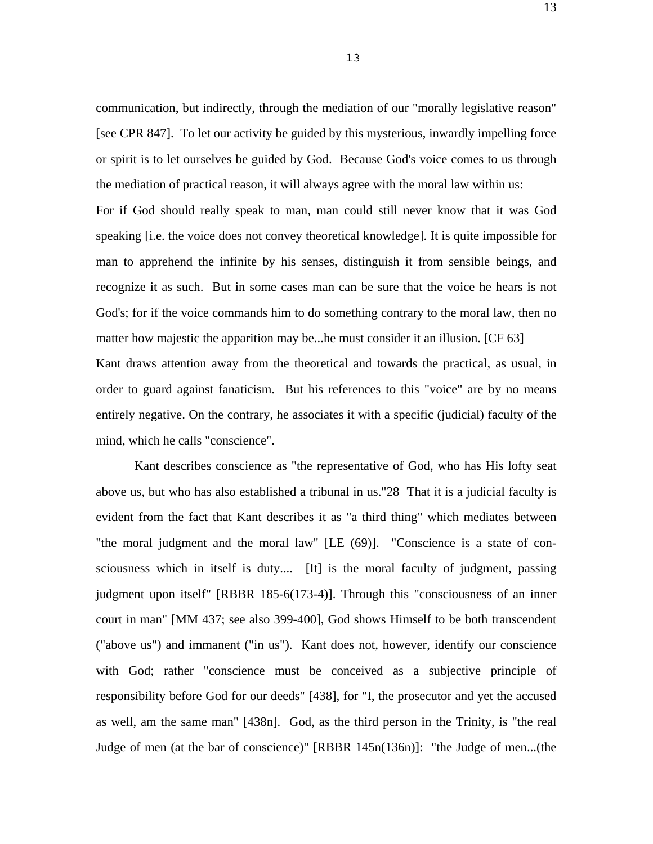communication, but indirectly, through the mediation of our "morally legislative reason" [see CPR 847]. To let our activity be guided by this mysterious, inwardly impelling force or spirit is to let ourselves be guided by God. Because God's voice comes to us through the mediation of practical reason, it will always agree with the moral law within us: For if God should really speak to man, man could still never know that it was God speaking [i.e. the voice does not convey theoretical knowledge]. It is quite impossible for man to apprehend the infinite by his senses, distinguish it from sensible beings, and recognize it as such. But in some cases man can be sure that the voice he hears is not God's; for if the voice commands him to do something contrary to the moral law, then no matter how majestic the apparition may be...he must consider it an illusion. [CF 63] Kant draws attention away from the theoretical and towards the practical, as usual, in order to guard against fanaticism. But his references to this "voice" are by no means entirely negative. On the contrary, he associates it with a specific (judicial) faculty of the mind, which he calls "conscience".

 Kant describes conscience as "the representative of God, who has His lofty seat above us, but who has also established a tribunal in us."28 That it is a judicial faculty is evident from the fact that Kant describes it as "a third thing" which mediates between "the moral judgment and the moral law" [LE (69)]. "Conscience is a state of consciousness which in itself is duty.... [It] is the moral faculty of judgment, passing judgment upon itself" [RBBR 185-6(173-4)]. Through this "consciousness of an inner court in man" [MM 437; see also 399-400], God shows Himself to be both transcendent ("above us") and immanent ("in us"). Kant does not, however, identify our conscience with God; rather "conscience must be conceived as a subjective principle of responsibility before God for our deeds" [438], for "I, the prosecutor and yet the accused as well, am the same man" [438n]. God, as the third person in the Trinity, is "the real Judge of men (at the bar of conscience)" [RBBR 145n(136n)]: "the Judge of men...(the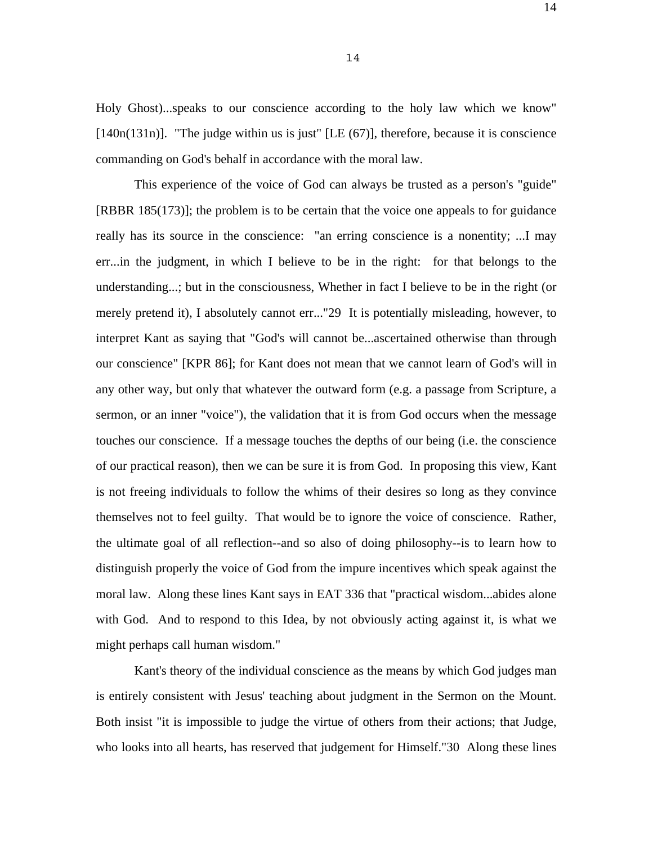Holy Ghost)...speaks to our conscience according to the holy law which we know"  $[140n(131n)]$ . "The judge within us is just" [LE (67)], therefore, because it is conscience commanding on God's behalf in accordance with the moral law.

 This experience of the voice of God can always be trusted as a person's "guide" [RBBR 185(173)]; the problem is to be certain that the voice one appeals to for guidance really has its source in the conscience: "an erring conscience is a nonentity; ...I may err...in the judgment, in which I believe to be in the right: for that belongs to the understanding...; but in the consciousness, Whether in fact I believe to be in the right (or merely pretend it), I absolutely cannot err..."29 It is potentially misleading, however, to interpret Kant as saying that "God's will cannot be...ascertained otherwise than through our conscience" [KPR 86]; for Kant does not mean that we cannot learn of God's will in any other way, but only that whatever the outward form (e.g. a passage from Scripture, a sermon, or an inner "voice"), the validation that it is from God occurs when the message touches our conscience. If a message touches the depths of our being (i.e. the conscience of our practical reason), then we can be sure it is from God. In proposing this view, Kant is not freeing individuals to follow the whims of their desires so long as they convince themselves not to feel guilty. That would be to ignore the voice of conscience. Rather, the ultimate goal of all reflection--and so also of doing philosophy--is to learn how to distinguish properly the voice of God from the impure incentives which speak against the moral law. Along these lines Kant says in EAT 336 that "practical wisdom...abides alone with God. And to respond to this Idea, by not obviously acting against it, is what we might perhaps call human wisdom."

 Kant's theory of the individual conscience as the means by which God judges man is entirely consistent with Jesus' teaching about judgment in the Sermon on the Mount. Both insist "it is impossible to judge the virtue of others from their actions; that Judge, who looks into all hearts, has reserved that judgement for Himself."30 Along these lines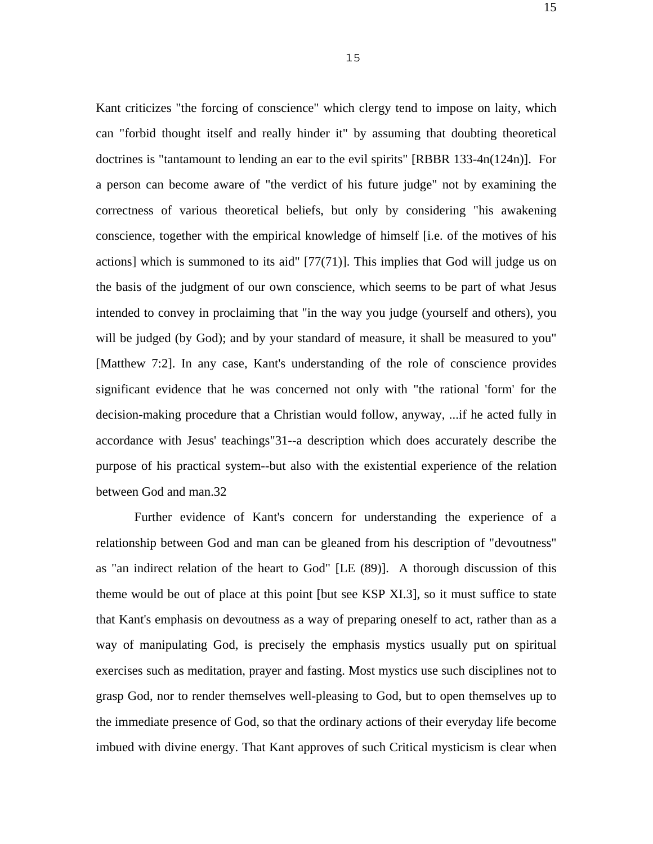Kant criticizes "the forcing of conscience" which clergy tend to impose on laity, which can "forbid thought itself and really hinder it" by assuming that doubting theoretical doctrines is "tantamount to lending an ear to the evil spirits" [RBBR 133-4n(124n)]. For a person can become aware of "the verdict of his future judge" not by examining the correctness of various theoretical beliefs, but only by considering "his awakening conscience, together with the empirical knowledge of himself [i.e. of the motives of his actions] which is summoned to its aid" [77(71)]. This implies that God will judge us on the basis of the judgment of our own conscience, which seems to be part of what Jesus intended to convey in proclaiming that "in the way you judge (yourself and others), you will be judged (by God); and by your standard of measure, it shall be measured to you" [Matthew 7:2]. In any case, Kant's understanding of the role of conscience provides significant evidence that he was concerned not only with "the rational 'form' for the decision-making procedure that a Christian would follow, anyway, ...if he acted fully in accordance with Jesus' teachings"31--a description which does accurately describe the purpose of his practical system--but also with the existential experience of the relation between God and man.32

 Further evidence of Kant's concern for understanding the experience of a relationship between God and man can be gleaned from his description of "devoutness" as "an indirect relation of the heart to God" [LE (89)]. A thorough discussion of this theme would be out of place at this point [but see KSP XI.3], so it must suffice to state that Kant's emphasis on devoutness as a way of preparing oneself to act, rather than as a way of manipulating God, is precisely the emphasis mystics usually put on spiritual exercises such as meditation, prayer and fasting. Most mystics use such disciplines not to grasp God, nor to render themselves well-pleasing to God, but to open themselves up to the immediate presence of God, so that the ordinary actions of their everyday life become imbued with divine energy. That Kant approves of such Critical mysticism is clear when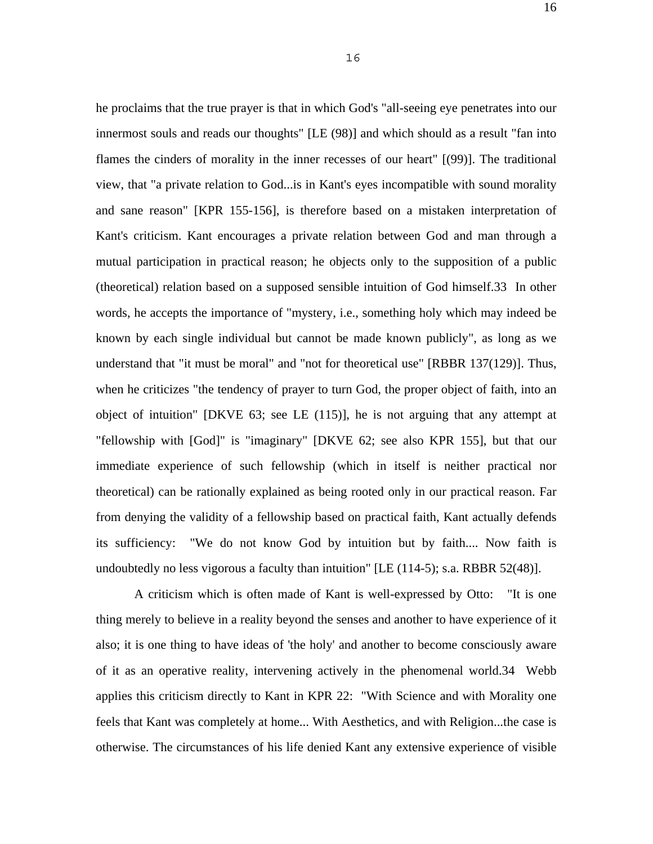he proclaims that the true prayer is that in which God's "all-seeing eye penetrates into our innermost souls and reads our thoughts" [LE (98)] and which should as a result "fan into flames the cinders of morality in the inner recesses of our heart" [(99)]. The traditional view, that "a private relation to God...is in Kant's eyes incompatible with sound morality and sane reason" [KPR 155-156], is therefore based on a mistaken interpretation of Kant's criticism. Kant encourages a private relation between God and man through a mutual participation in practical reason; he objects only to the supposition of a public (theoretical) relation based on a supposed sensible intuition of God himself.33 In other words, he accepts the importance of "mystery, i.e., something holy which may indeed be known by each single individual but cannot be made known publicly", as long as we understand that "it must be moral" and "not for theoretical use" [RBBR 137(129)]. Thus, when he criticizes "the tendency of prayer to turn God, the proper object of faith, into an object of intuition" [DKVE 63; see LE (115)], he is not arguing that any attempt at "fellowship with [God]" is "imaginary" [DKVE 62; see also KPR 155], but that our immediate experience of such fellowship (which in itself is neither practical nor theoretical) can be rationally explained as being rooted only in our practical reason. Far from denying the validity of a fellowship based on practical faith, Kant actually defends its sufficiency: "We do not know God by intuition but by faith.... Now faith is undoubtedly no less vigorous a faculty than intuition" [LE (114-5); s.a. RBBR 52(48)].

 A criticism which is often made of Kant is well-expressed by Otto: "It is one thing merely to believe in a reality beyond the senses and another to have experience of it also; it is one thing to have ideas of 'the holy' and another to become consciously aware of it as an operative reality, intervening actively in the phenomenal world.34 Webb applies this criticism directly to Kant in KPR 22: "With Science and with Morality one feels that Kant was completely at home... With Aesthetics, and with Religion...the case is otherwise. The circumstances of his life denied Kant any extensive experience of visible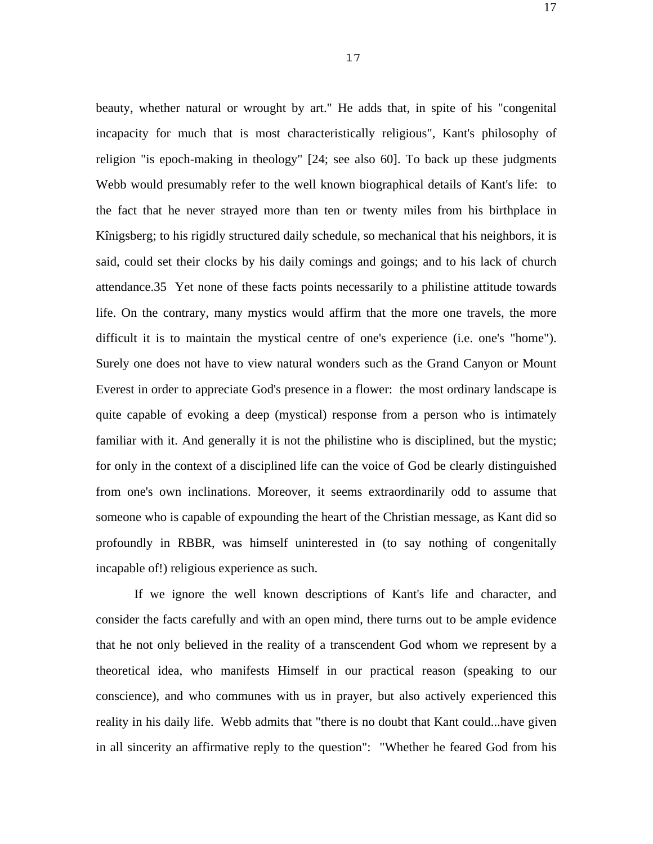beauty, whether natural or wrought by art." He adds that, in spite of his "congenital incapacity for much that is most characteristically religious", Kant's philosophy of religion "is epoch-making in theology" [24; see also 60]. To back up these judgments Webb would presumably refer to the well known biographical details of Kant's life: to the fact that he never strayed more than ten or twenty miles from his birthplace in Kînigsberg; to his rigidly structured daily schedule, so mechanical that his neighbors, it is said, could set their clocks by his daily comings and goings; and to his lack of church attendance.35 Yet none of these facts points necessarily to a philistine attitude towards life. On the contrary, many mystics would affirm that the more one travels, the more difficult it is to maintain the mystical centre of one's experience (i.e. one's "home"). Surely one does not have to view natural wonders such as the Grand Canyon or Mount Everest in order to appreciate God's presence in a flower: the most ordinary landscape is quite capable of evoking a deep (mystical) response from a person who is intimately familiar with it. And generally it is not the philistine who is disciplined, but the mystic; for only in the context of a disciplined life can the voice of God be clearly distinguished from one's own inclinations. Moreover, it seems extraordinarily odd to assume that someone who is capable of expounding the heart of the Christian message, as Kant did so profoundly in RBBR, was himself uninterested in (to say nothing of congenitally incapable of!) religious experience as such.

 If we ignore the well known descriptions of Kant's life and character, and consider the facts carefully and with an open mind, there turns out to be ample evidence that he not only believed in the reality of a transcendent God whom we represent by a theoretical idea, who manifests Himself in our practical reason (speaking to our conscience), and who communes with us in prayer, but also actively experienced this reality in his daily life. Webb admits that "there is no doubt that Kant could...have given in all sincerity an affirmative reply to the question": "Whether he feared God from his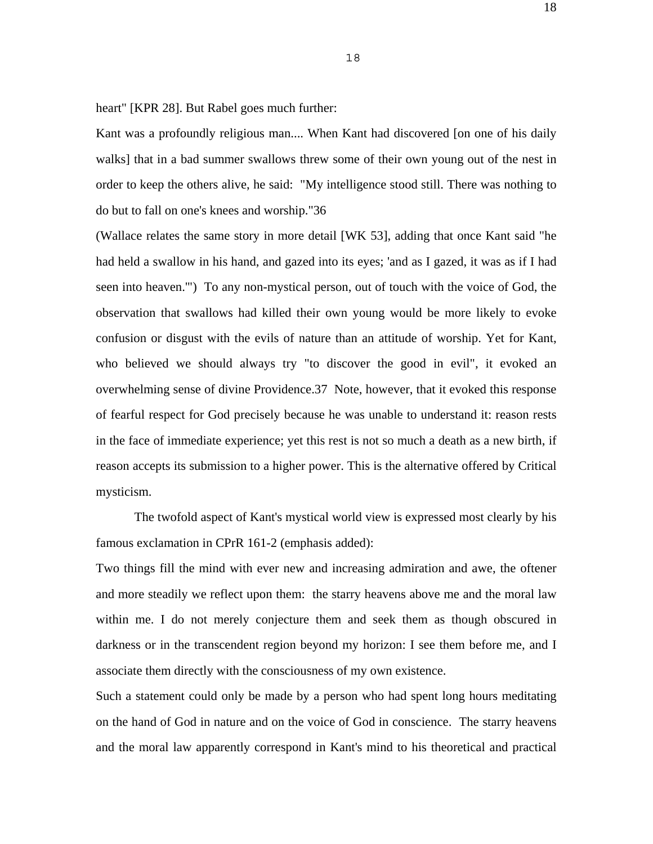heart" [KPR 28]. But Rabel goes much further:

Kant was a profoundly religious man.... When Kant had discovered [on one of his daily walks] that in a bad summer swallows threw some of their own young out of the nest in order to keep the others alive, he said: "My intelligence stood still. There was nothing to do but to fall on one's knees and worship."36

(Wallace relates the same story in more detail [WK 53], adding that once Kant said "he had held a swallow in his hand, and gazed into its eyes; 'and as I gazed, it was as if I had seen into heaven.'") To any non-mystical person, out of touch with the voice of God, the observation that swallows had killed their own young would be more likely to evoke confusion or disgust with the evils of nature than an attitude of worship. Yet for Kant, who believed we should always try "to discover the good in evil", it evoked an overwhelming sense of divine Providence.37 Note, however, that it evoked this response of fearful respect for God precisely because he was unable to understand it: reason rests in the face of immediate experience; yet this rest is not so much a death as a new birth, if reason accepts its submission to a higher power. This is the alternative offered by Critical mysticism.

 The twofold aspect of Kant's mystical world view is expressed most clearly by his famous exclamation in CPrR 161-2 (emphasis added):

Two things fill the mind with ever new and increasing admiration and awe, the oftener and more steadily we reflect upon them: the starry heavens above me and the moral law within me. I do not merely conjecture them and seek them as though obscured in darkness or in the transcendent region beyond my horizon: I see them before me, and I associate them directly with the consciousness of my own existence.

Such a statement could only be made by a person who had spent long hours meditating on the hand of God in nature and on the voice of God in conscience. The starry heavens and the moral law apparently correspond in Kant's mind to his theoretical and practical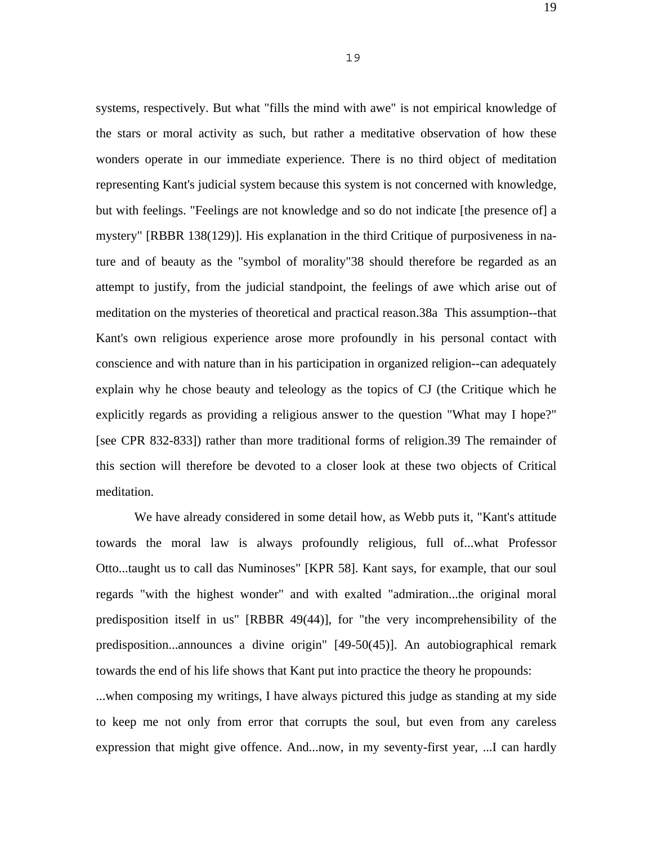systems, respectively. But what "fills the mind with awe" is not empirical knowledge of the stars or moral activity as such, but rather a meditative observation of how these wonders operate in our immediate experience. There is no third object of meditation representing Kant's judicial system because this system is not concerned with knowledge, but with feelings. "Feelings are not knowledge and so do not indicate [the presence of] a mystery" [RBBR 138(129)]. His explanation in the third Critique of purposiveness in nature and of beauty as the "symbol of morality"38 should therefore be regarded as an attempt to justify, from the judicial standpoint, the feelings of awe which arise out of meditation on the mysteries of theoretical and practical reason.38a This assumption--that Kant's own religious experience arose more profoundly in his personal contact with conscience and with nature than in his participation in organized religion--can adequately explain why he chose beauty and teleology as the topics of CJ (the Critique which he explicitly regards as providing a religious answer to the question "What may I hope?" [see CPR 832-833]) rather than more traditional forms of religion.39 The remainder of this section will therefore be devoted to a closer look at these two objects of Critical meditation.

 We have already considered in some detail how, as Webb puts it, "Kant's attitude towards the moral law is always profoundly religious, full of...what Professor Otto...taught us to call das Numinoses" [KPR 58]. Kant says, for example, that our soul regards "with the highest wonder" and with exalted "admiration...the original moral predisposition itself in us" [RBBR 49(44)], for "the very incomprehensibility of the predisposition...announces a divine origin" [49-50(45)]. An autobiographical remark towards the end of his life shows that Kant put into practice the theory he propounds: ...when composing my writings, I have always pictured this judge as standing at my side to keep me not only from error that corrupts the soul, but even from any careless expression that might give offence. And...now, in my seventy-first year, ...I can hardly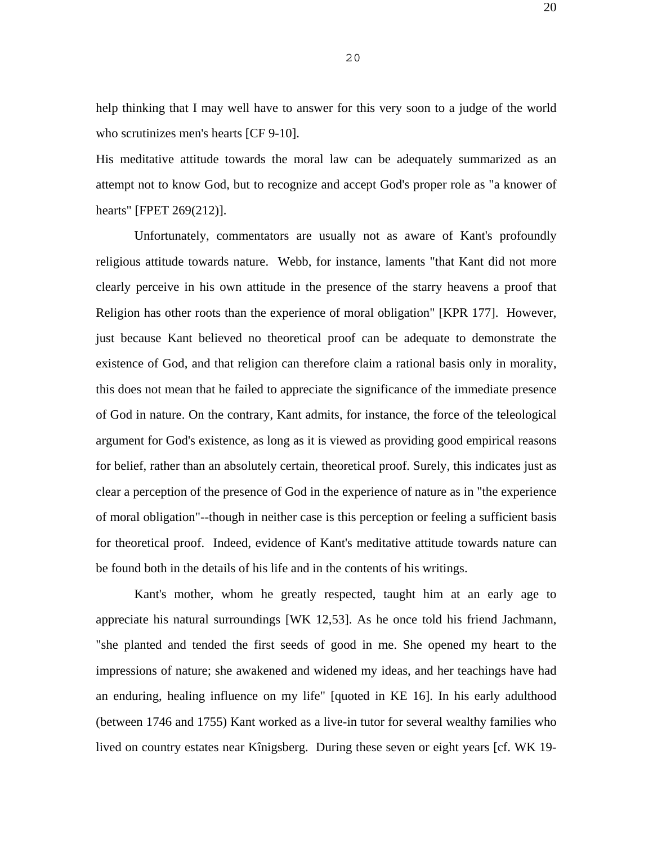help thinking that I may well have to answer for this very soon to a judge of the world who scrutinizes men's hearts [CF 9-10].

His meditative attitude towards the moral law can be adequately summarized as an attempt not to know God, but to recognize and accept God's proper role as "a knower of hearts" [FPET 269(212)].

 Unfortunately, commentators are usually not as aware of Kant's profoundly religious attitude towards nature. Webb, for instance, laments "that Kant did not more clearly perceive in his own attitude in the presence of the starry heavens a proof that Religion has other roots than the experience of moral obligation" [KPR 177]. However, just because Kant believed no theoretical proof can be adequate to demonstrate the existence of God, and that religion can therefore claim a rational basis only in morality, this does not mean that he failed to appreciate the significance of the immediate presence of God in nature. On the contrary, Kant admits, for instance, the force of the teleological argument for God's existence, as long as it is viewed as providing good empirical reasons for belief, rather than an absolutely certain, theoretical proof. Surely, this indicates just as clear a perception of the presence of God in the experience of nature as in "the experience of moral obligation"--though in neither case is this perception or feeling a sufficient basis for theoretical proof. Indeed, evidence of Kant's meditative attitude towards nature can be found both in the details of his life and in the contents of his writings.

 Kant's mother, whom he greatly respected, taught him at an early age to appreciate his natural surroundings [WK 12,53]. As he once told his friend Jachmann, "she planted and tended the first seeds of good in me. She opened my heart to the impressions of nature; she awakened and widened my ideas, and her teachings have had an enduring, healing influence on my life" [quoted in KE 16]. In his early adulthood (between 1746 and 1755) Kant worked as a live-in tutor for several wealthy families who lived on country estates near Kînigsberg. During these seven or eight years [cf. WK 19-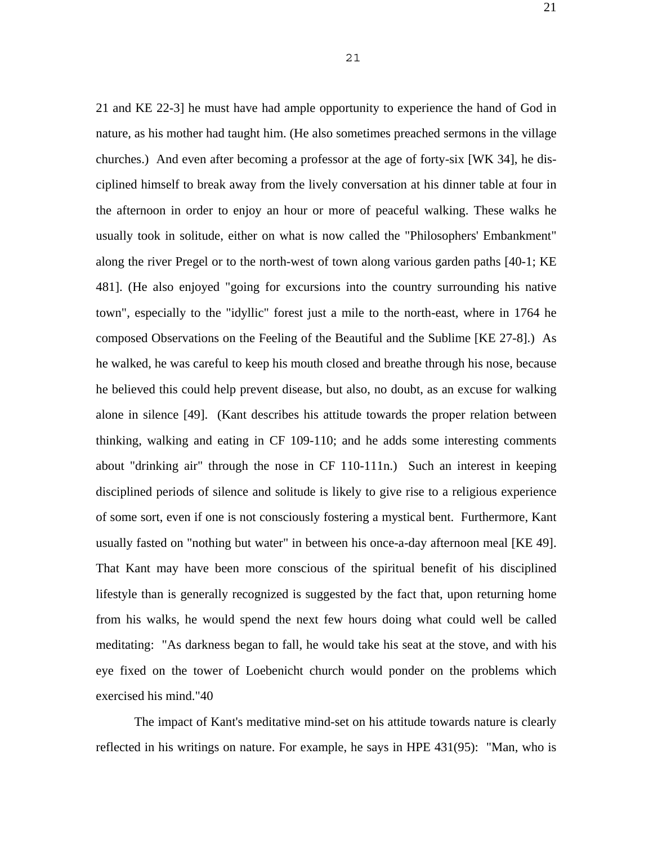21 and KE 22-3] he must have had ample opportunity to experience the hand of God in nature, as his mother had taught him. (He also sometimes preached sermons in the village churches.) And even after becoming a professor at the age of forty-six [WK 34], he disciplined himself to break away from the lively conversation at his dinner table at four in the afternoon in order to enjoy an hour or more of peaceful walking. These walks he usually took in solitude, either on what is now called the "Philosophers' Embankment" along the river Pregel or to the north-west of town along various garden paths [40-1; KE 481]. (He also enjoyed "going for excursions into the country surrounding his native town", especially to the "idyllic" forest just a mile to the north-east, where in 1764 he composed Observations on the Feeling of the Beautiful and the Sublime [KE 27-8].) As he walked, he was careful to keep his mouth closed and breathe through his nose, because he believed this could help prevent disease, but also, no doubt, as an excuse for walking alone in silence [49]. (Kant describes his attitude towards the proper relation between thinking, walking and eating in CF 109-110; and he adds some interesting comments about "drinking air" through the nose in CF 110-111n.) Such an interest in keeping disciplined periods of silence and solitude is likely to give rise to a religious experience of some sort, even if one is not consciously fostering a mystical bent. Furthermore, Kant usually fasted on "nothing but water" in between his once-a-day afternoon meal [KE 49]. That Kant may have been more conscious of the spiritual benefit of his disciplined lifestyle than is generally recognized is suggested by the fact that, upon returning home from his walks, he would spend the next few hours doing what could well be called meditating: "As darkness began to fall, he would take his seat at the stove, and with his eye fixed on the tower of Loebenicht church would ponder on the problems which exercised his mind."40

 The impact of Kant's meditative mind-set on his attitude towards nature is clearly reflected in his writings on nature. For example, he says in HPE 431(95): "Man, who is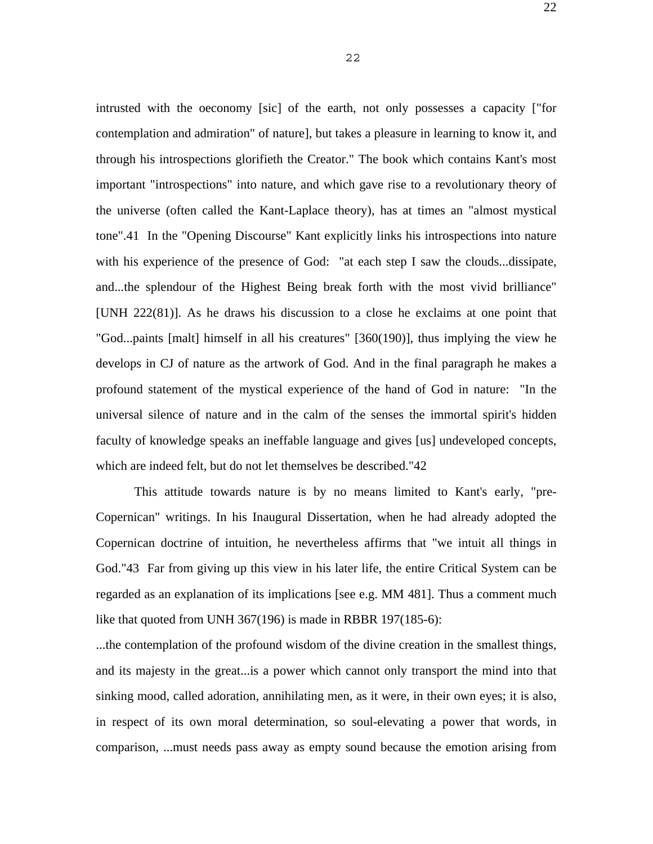intrusted with the oeconomy [sic] of the earth, not only possesses a capacity ["for contemplation and admiration" of nature], but takes a pleasure in learning to know it, and through his introspections glorifieth the Creator." The book which contains Kant's most important "introspections" into nature, and which gave rise to a revolutionary theory of the universe (often called the Kant-Laplace theory), has at times an "almost mystical tone".41 In the "Opening Discourse" Kant explicitly links his introspections into nature with his experience of the presence of God: "at each step I saw the clouds...dissipate, and...the splendour of the Highest Being break forth with the most vivid brilliance" [UNH 222(81)]. As he draws his discussion to a close he exclaims at one point that "God...paints [malt] himself in all his creatures" [360(190)], thus implying the view he develops in CJ of nature as the artwork of God. And in the final paragraph he makes a profound statement of the mystical experience of the hand of God in nature: "In the universal silence of nature and in the calm of the senses the immortal spirit's hidden faculty of knowledge speaks an ineffable language and gives [us] undeveloped concepts, which are indeed felt, but do not let themselves be described."42

 This attitude towards nature is by no means limited to Kant's early, "pre-Copernican" writings. In his Inaugural Dissertation, when he had already adopted the Copernican doctrine of intuition, he nevertheless affirms that "we intuit all things in God."43 Far from giving up this view in his later life, the entire Critical System can be regarded as an explanation of its implications [see e.g. MM 481]. Thus a comment much like that quoted from UNH 367(196) is made in RBBR 197(185-6):

...the contemplation of the profound wisdom of the divine creation in the smallest things, and its majesty in the great...is a power which cannot only transport the mind into that sinking mood, called adoration, annihilating men, as it were, in their own eyes; it is also, in respect of its own moral determination, so soul-elevating a power that words, in comparison, ...must needs pass away as empty sound because the emotion arising from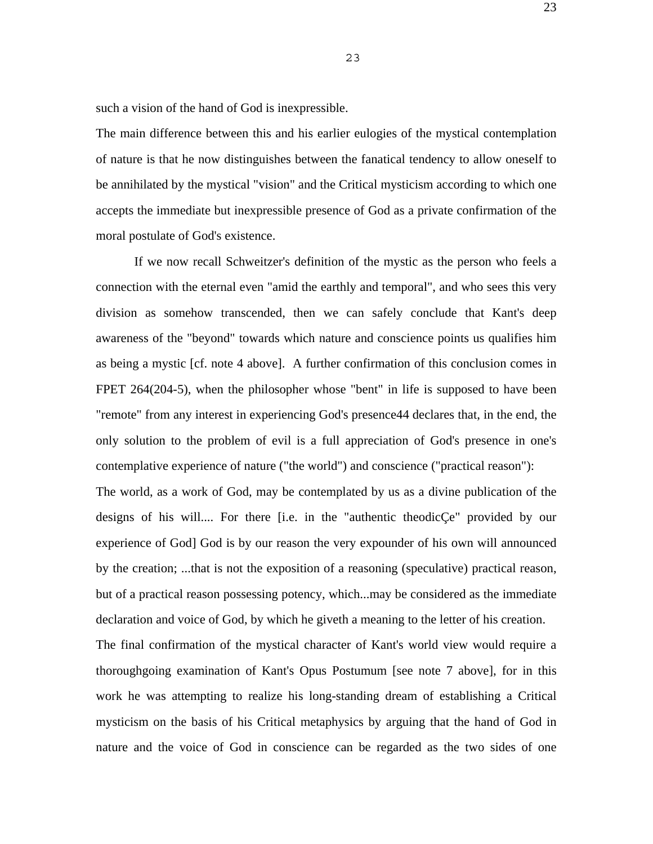such a vision of the hand of God is inexpressible.

The main difference between this and his earlier eulogies of the mystical contemplation of nature is that he now distinguishes between the fanatical tendency to allow oneself to be annihilated by the mystical "vision" and the Critical mysticism according to which one accepts the immediate but inexpressible presence of God as a private confirmation of the moral postulate of God's existence.

 If we now recall Schweitzer's definition of the mystic as the person who feels a connection with the eternal even "amid the earthly and temporal", and who sees this very division as somehow transcended, then we can safely conclude that Kant's deep awareness of the "beyond" towards which nature and conscience points us qualifies him as being a mystic [cf. note 4 above]. A further confirmation of this conclusion comes in FPET 264(204-5), when the philosopher whose "bent" in life is supposed to have been "remote" from any interest in experiencing God's presence44 declares that, in the end, the only solution to the problem of evil is a full appreciation of God's presence in one's contemplative experience of nature ("the world") and conscience ("practical reason"): The world, as a work of God, may be contemplated by us as a divine publication of the designs of his will.... For there [i.e. in the "authentic theodicÇe" provided by our experience of God] God is by our reason the very expounder of his own will announced by the creation; ...that is not the exposition of a reasoning (speculative) practical reason, but of a practical reason possessing potency, which...may be considered as the immediate declaration and voice of God, by which he giveth a meaning to the letter of his creation. The final confirmation of the mystical character of Kant's world view would require a thoroughgoing examination of Kant's Opus Postumum [see note 7 above], for in this work he was attempting to realize his long-standing dream of establishing a Critical mysticism on the basis of his Critical metaphysics by arguing that the hand of God in nature and the voice of God in conscience can be regarded as the two sides of one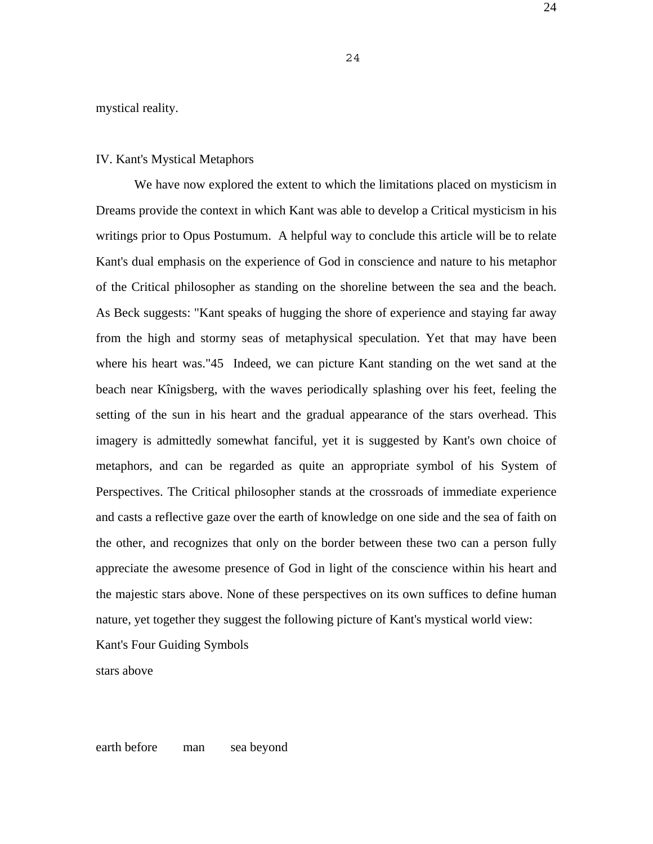mystical reality.

#### IV. Kant's Mystical Metaphors

 We have now explored the extent to which the limitations placed on mysticism in Dreams provide the context in which Kant was able to develop a Critical mysticism in his writings prior to Opus Postumum. A helpful way to conclude this article will be to relate Kant's dual emphasis on the experience of God in conscience and nature to his metaphor of the Critical philosopher as standing on the shoreline between the sea and the beach. As Beck suggests: "Kant speaks of hugging the shore of experience and staying far away from the high and stormy seas of metaphysical speculation. Yet that may have been where his heart was."45 Indeed, we can picture Kant standing on the wet sand at the beach near Kînigsberg, with the waves periodically splashing over his feet, feeling the setting of the sun in his heart and the gradual appearance of the stars overhead. This imagery is admittedly somewhat fanciful, yet it is suggested by Kant's own choice of metaphors, and can be regarded as quite an appropriate symbol of his System of Perspectives. The Critical philosopher stands at the crossroads of immediate experience and casts a reflective gaze over the earth of knowledge on one side and the sea of faith on the other, and recognizes that only on the border between these two can a person fully appreciate the awesome presence of God in light of the conscience within his heart and the majestic stars above. None of these perspectives on its own suffices to define human nature, yet together they suggest the following picture of Kant's mystical world view:

Kant's Four Guiding Symbols

stars above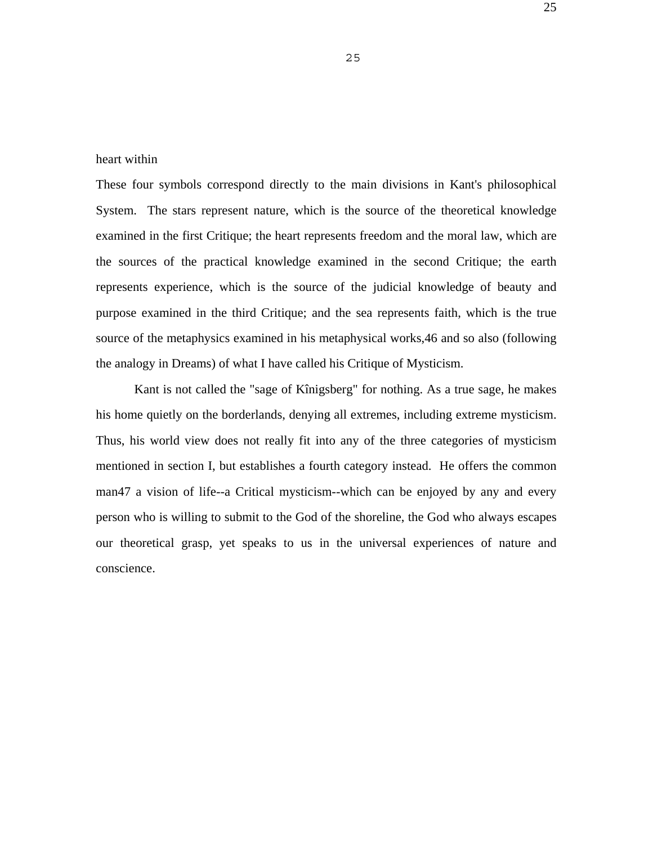### heart within

These four symbols correspond directly to the main divisions in Kant's philosophical System. The stars represent nature, which is the source of the theoretical knowledge examined in the first Critique; the heart represents freedom and the moral law, which are the sources of the practical knowledge examined in the second Critique; the earth represents experience, which is the source of the judicial knowledge of beauty and purpose examined in the third Critique; and the sea represents faith, which is the true source of the metaphysics examined in his metaphysical works,46 and so also (following the analogy in Dreams) of what I have called his Critique of Mysticism.

 Kant is not called the "sage of Kînigsberg" for nothing. As a true sage, he makes his home quietly on the borderlands, denying all extremes, including extreme mysticism. Thus, his world view does not really fit into any of the three categories of mysticism mentioned in section I, but establishes a fourth category instead. He offers the common man47 a vision of life--a Critical mysticism--which can be enjoyed by any and every person who is willing to submit to the God of the shoreline, the God who always escapes our theoretical grasp, yet speaks to us in the universal experiences of nature and conscience.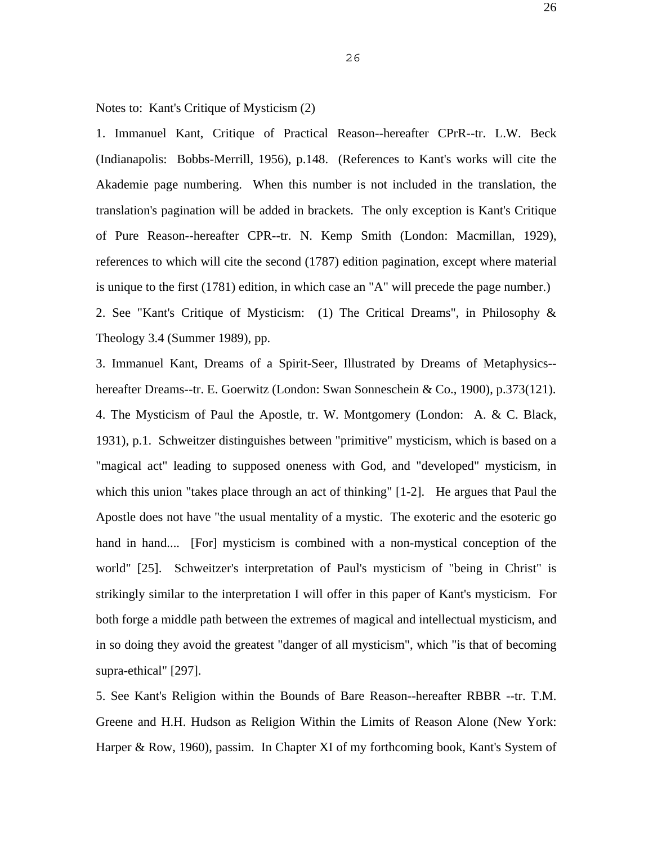Notes to: Kant's Critique of Mysticism (2)

1. Immanuel Kant, Critique of Practical Reason--hereafter CPrR--tr. L.W. Beck (Indianapolis: Bobbs-Merrill, 1956), p.148. (References to Kant's works will cite the Akademie page numbering. When this number is not included in the translation, the translation's pagination will be added in brackets. The only exception is Kant's Critique of Pure Reason--hereafter CPR--tr. N. Kemp Smith (London: Macmillan, 1929), references to which will cite the second (1787) edition pagination, except where material is unique to the first (1781) edition, in which case an "A" will precede the page number.) 2. See "Kant's Critique of Mysticism: (1) The Critical Dreams", in Philosophy & Theology 3.4 (Summer 1989), pp.

3. Immanuel Kant, Dreams of a Spirit-Seer, Illustrated by Dreams of Metaphysics- hereafter Dreams--tr. E. Goerwitz (London: Swan Sonneschein & Co., 1900), p.373(121). 4. The Mysticism of Paul the Apostle, tr. W. Montgomery (London: A. & C. Black, 1931), p.1. Schweitzer distinguishes between "primitive" mysticism, which is based on a "magical act" leading to supposed oneness with God, and "developed" mysticism, in which this union "takes place through an act of thinking" [1-2]. He argues that Paul the Apostle does not have "the usual mentality of a mystic. The exoteric and the esoteric go hand in hand.... [For] mysticism is combined with a non-mystical conception of the world" [25]. Schweitzer's interpretation of Paul's mysticism of "being in Christ" is strikingly similar to the interpretation I will offer in this paper of Kant's mysticism. For both forge a middle path between the extremes of magical and intellectual mysticism, and in so doing they avoid the greatest "danger of all mysticism", which "is that of becoming supra-ethical" [297].

5. See Kant's Religion within the Bounds of Bare Reason--hereafter RBBR --tr. T.M. Greene and H.H. Hudson as Religion Within the Limits of Reason Alone (New York: Harper & Row, 1960), passim. In Chapter XI of my forthcoming book, Kant's System of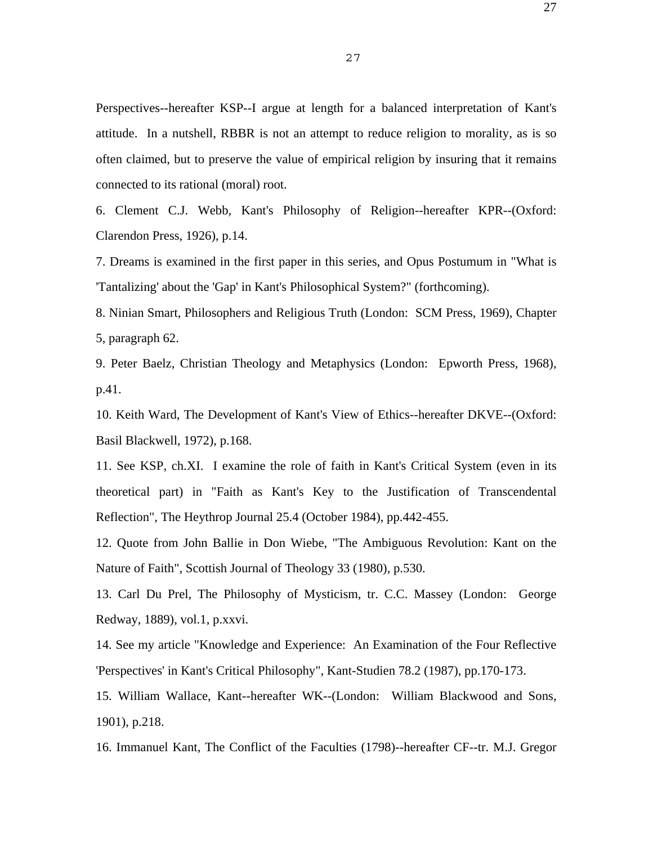Perspectives--hereafter KSP--I argue at length for a balanced interpretation of Kant's attitude. In a nutshell, RBBR is not an attempt to reduce religion to morality, as is so often claimed, but to preserve the value of empirical religion by insuring that it remains connected to its rational (moral) root.

6. Clement C.J. Webb, Kant's Philosophy of Religion--hereafter KPR--(Oxford: Clarendon Press, 1926), p.14.

7. Dreams is examined in the first paper in this series, and Opus Postumum in "What is 'Tantalizing' about the 'Gap' in Kant's Philosophical System?" (forthcoming).

8. Ninian Smart, Philosophers and Religious Truth (London: SCM Press, 1969), Chapter 5, paragraph 62.

9. Peter Baelz, Christian Theology and Metaphysics (London: Epworth Press, 1968), p.41.

10. Keith Ward, The Development of Kant's View of Ethics--hereafter DKVE--(Oxford: Basil Blackwell, 1972), p.168.

11. See KSP, ch.XI. I examine the role of faith in Kant's Critical System (even in its theoretical part) in "Faith as Kant's Key to the Justification of Transcendental Reflection", The Heythrop Journal 25.4 (October 1984), pp.442-455.

12. Quote from John Ballie in Don Wiebe, "The Ambiguous Revolution: Kant on the Nature of Faith", Scottish Journal of Theology 33 (1980), p.530.

13. Carl Du Prel, The Philosophy of Mysticism, tr. C.C. Massey (London: George Redway, 1889), vol.1, p.xxvi.

14. See my article "Knowledge and Experience: An Examination of the Four Reflective 'Perspectives' in Kant's Critical Philosophy", Kant-Studien 78.2 (1987), pp.170-173.

15. William Wallace, Kant--hereafter WK--(London: William Blackwood and Sons, 1901), p.218.

16. Immanuel Kant, The Conflict of the Faculties (1798)--hereafter CF--tr. M.J. Gregor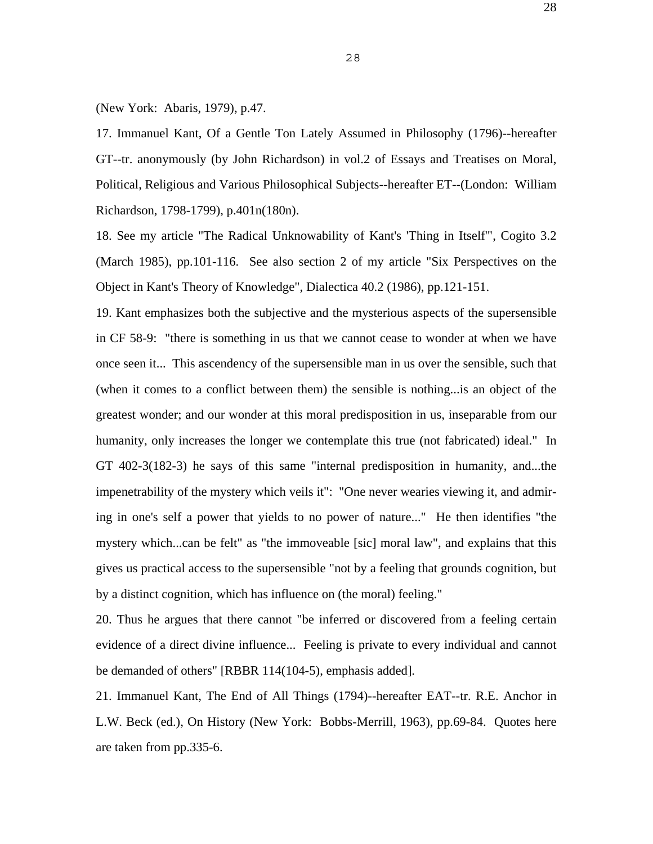(New York: Abaris, 1979), p.47.

17. Immanuel Kant, Of a Gentle Ton Lately Assumed in Philosophy (1796)--hereafter GT--tr. anonymously (by John Richardson) in vol.2 of Essays and Treatises on Moral, Political, Religious and Various Philosophical Subjects--hereafter ET--(London: William Richardson, 1798-1799), p.401n(180n).

18. See my article "The Radical Unknowability of Kant's 'Thing in Itself'", Cogito 3.2 (March 1985), pp.101-116. See also section 2 of my article "Six Perspectives on the Object in Kant's Theory of Knowledge", Dialectica 40.2 (1986), pp.121-151.

19. Kant emphasizes both the subjective and the mysterious aspects of the supersensible in CF 58-9: "there is something in us that we cannot cease to wonder at when we have once seen it... This ascendency of the supersensible man in us over the sensible, such that (when it comes to a conflict between them) the sensible is nothing...is an object of the greatest wonder; and our wonder at this moral predisposition in us, inseparable from our humanity, only increases the longer we contemplate this true (not fabricated) ideal." In GT 402-3(182-3) he says of this same "internal predisposition in humanity, and...the impenetrability of the mystery which veils it": "One never wearies viewing it, and admiring in one's self a power that yields to no power of nature..." He then identifies "the mystery which...can be felt" as "the immoveable [sic] moral law", and explains that this gives us practical access to the supersensible "not by a feeling that grounds cognition, but by a distinct cognition, which has influence on (the moral) feeling."

20. Thus he argues that there cannot "be inferred or discovered from a feeling certain evidence of a direct divine influence... Feeling is private to every individual and cannot be demanded of others" [RBBR 114(104-5), emphasis added].

21. Immanuel Kant, The End of All Things (1794)--hereafter EAT--tr. R.E. Anchor in L.W. Beck (ed.), On History (New York: Bobbs-Merrill, 1963), pp.69-84. Quotes here are taken from pp.335-6.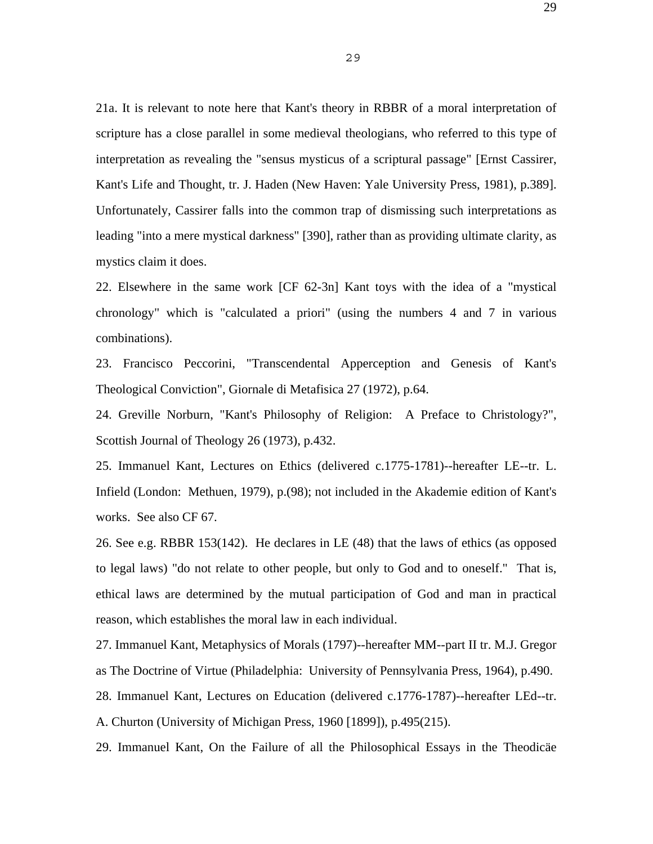21a. It is relevant to note here that Kant's theory in RBBR of a moral interpretation of scripture has a close parallel in some medieval theologians, who referred to this type of interpretation as revealing the "sensus mysticus of a scriptural passage" [Ernst Cassirer, Kant's Life and Thought, tr. J. Haden (New Haven: Yale University Press, 1981), p.389]. Unfortunately, Cassirer falls into the common trap of dismissing such interpretations as leading "into a mere mystical darkness" [390], rather than as providing ultimate clarity, as mystics claim it does.

22. Elsewhere in the same work [CF 62-3n] Kant toys with the idea of a "mystical chronology" which is "calculated a priori" (using the numbers 4 and 7 in various combinations).

23. Francisco Peccorini, "Transcendental Apperception and Genesis of Kant's Theological Conviction", Giornale di Metafisica 27 (1972), p.64.

24. Greville Norburn, "Kant's Philosophy of Religion: A Preface to Christology?", Scottish Journal of Theology 26 (1973), p.432.

25. Immanuel Kant, Lectures on Ethics (delivered c.1775-1781)--hereafter LE--tr. L. Infield (London: Methuen, 1979), p.(98); not included in the Akademie edition of Kant's works. See also CF 67.

26. See e.g. RBBR 153(142). He declares in LE (48) that the laws of ethics (as opposed to legal laws) "do not relate to other people, but only to God and to oneself." That is, ethical laws are determined by the mutual participation of God and man in practical reason, which establishes the moral law in each individual.

27. Immanuel Kant, Metaphysics of Morals (1797)--hereafter MM--part II tr. M.J. Gregor as The Doctrine of Virtue (Philadelphia: University of Pennsylvania Press, 1964), p.490.

28. Immanuel Kant, Lectures on Education (delivered c.1776-1787)--hereafter LEd--tr. A. Churton (University of Michigan Press, 1960 [1899]), p.495(215).

29. Immanuel Kant, On the Failure of all the Philosophical Essays in the Theodicäe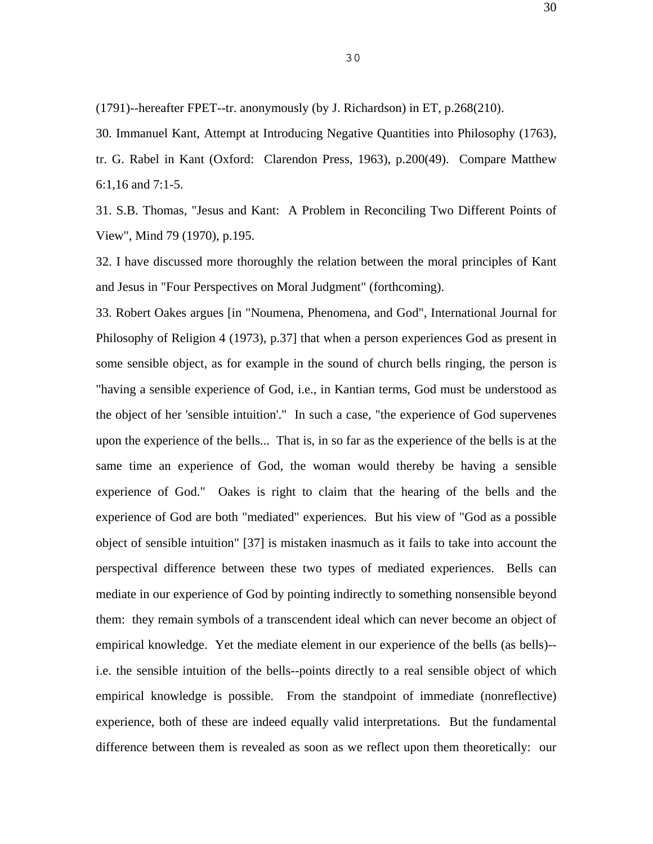(1791)--hereafter FPET--tr. anonymously (by J. Richardson) in ET, p.268(210).

30. Immanuel Kant, Attempt at Introducing Negative Quantities into Philosophy (1763),

tr. G. Rabel in Kant (Oxford: Clarendon Press, 1963), p.200(49). Compare Matthew 6:1,16 and 7:1-5.

31. S.B. Thomas, "Jesus and Kant: A Problem in Reconciling Two Different Points of View", Mind 79 (1970), p.195.

32. I have discussed more thoroughly the relation between the moral principles of Kant and Jesus in "Four Perspectives on Moral Judgment" (forthcoming).

33. Robert Oakes argues [in "Noumena, Phenomena, and God", International Journal for Philosophy of Religion 4 (1973), p.37] that when a person experiences God as present in some sensible object, as for example in the sound of church bells ringing, the person is "having a sensible experience of God, i.e., in Kantian terms, God must be understood as the object of her 'sensible intuition'." In such a case, "the experience of God supervenes upon the experience of the bells... That is, in so far as the experience of the bells is at the same time an experience of God, the woman would thereby be having a sensible experience of God." Oakes is right to claim that the hearing of the bells and the experience of God are both "mediated" experiences. But his view of "God as a possible object of sensible intuition" [37] is mistaken inasmuch as it fails to take into account the perspectival difference between these two types of mediated experiences. Bells can mediate in our experience of God by pointing indirectly to something nonsensible beyond them: they remain symbols of a transcendent ideal which can never become an object of empirical knowledge. Yet the mediate element in our experience of the bells (as bells)- i.e. the sensible intuition of the bells--points directly to a real sensible object of which empirical knowledge is possible. From the standpoint of immediate (nonreflective) experience, both of these are indeed equally valid interpretations. But the fundamental difference between them is revealed as soon as we reflect upon them theoretically: our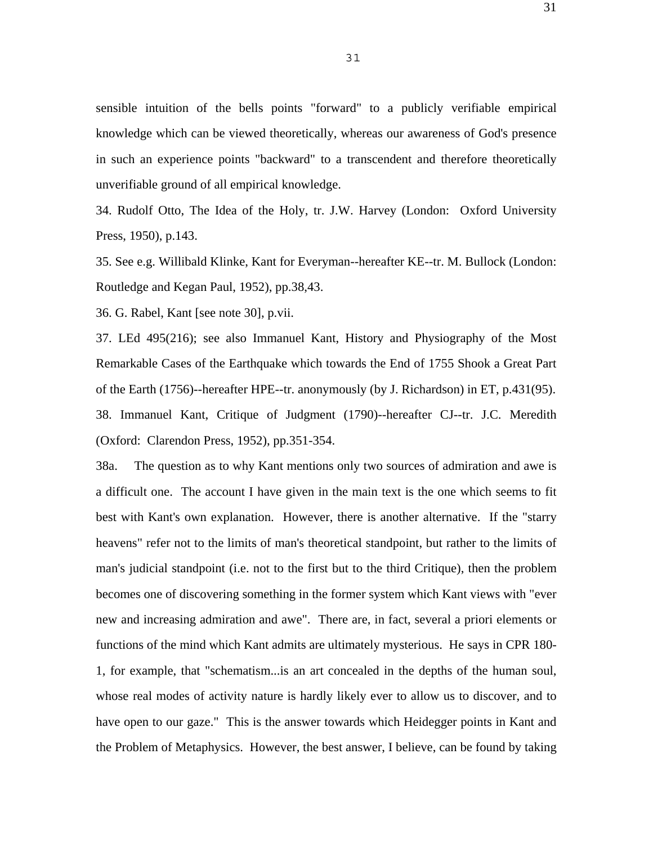sensible intuition of the bells points "forward" to a publicly verifiable empirical knowledge which can be viewed theoretically, whereas our awareness of God's presence in such an experience points "backward" to a transcendent and therefore theoretically unverifiable ground of all empirical knowledge.

34. Rudolf Otto, The Idea of the Holy, tr. J.W. Harvey (London: Oxford University Press, 1950), p.143.

35. See e.g. Willibald Klinke, Kant for Everyman--hereafter KE--tr. M. Bullock (London: Routledge and Kegan Paul, 1952), pp.38,43.

36. G. Rabel, Kant [see note 30], p.vii.

37. LEd 495(216); see also Immanuel Kant, History and Physiography of the Most Remarkable Cases of the Earthquake which towards the End of 1755 Shook a Great Part of the Earth (1756)--hereafter HPE--tr. anonymously (by J. Richardson) in ET, p.431(95). 38. Immanuel Kant, Critique of Judgment (1790)--hereafter CJ--tr. J.C. Meredith (Oxford: Clarendon Press, 1952), pp.351-354.

38a. The question as to why Kant mentions only two sources of admiration and awe is a difficult one. The account I have given in the main text is the one which seems to fit best with Kant's own explanation. However, there is another alternative. If the "starry heavens" refer not to the limits of man's theoretical standpoint, but rather to the limits of man's judicial standpoint (i.e. not to the first but to the third Critique), then the problem becomes one of discovering something in the former system which Kant views with "ever new and increasing admiration and awe". There are, in fact, several a priori elements or functions of the mind which Kant admits are ultimately mysterious. He says in CPR 180- 1, for example, that "schematism...is an art concealed in the depths of the human soul, whose real modes of activity nature is hardly likely ever to allow us to discover, and to have open to our gaze." This is the answer towards which Heidegger points in Kant and the Problem of Metaphysics. However, the best answer, I believe, can be found by taking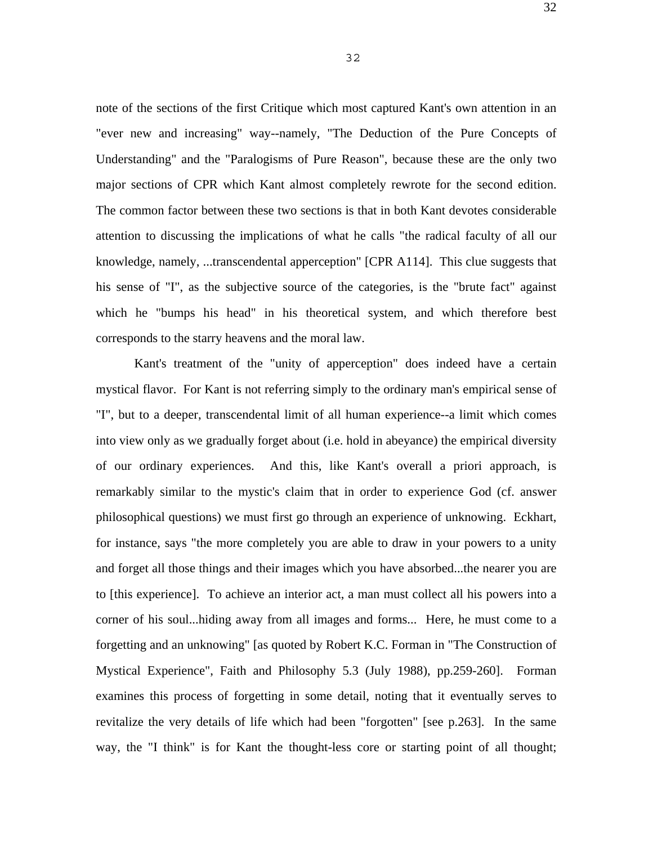note of the sections of the first Critique which most captured Kant's own attention in an "ever new and increasing" way--namely, "The Deduction of the Pure Concepts of Understanding" and the "Paralogisms of Pure Reason", because these are the only two major sections of CPR which Kant almost completely rewrote for the second edition. The common factor between these two sections is that in both Kant devotes considerable attention to discussing the implications of what he calls "the radical faculty of all our knowledge, namely, ...transcendental apperception" [CPR A114]. This clue suggests that his sense of "I", as the subjective source of the categories, is the "brute fact" against which he "bumps his head" in his theoretical system, and which therefore best corresponds to the starry heavens and the moral law.

 Kant's treatment of the "unity of apperception" does indeed have a certain mystical flavor. For Kant is not referring simply to the ordinary man's empirical sense of "I", but to a deeper, transcendental limit of all human experience--a limit which comes into view only as we gradually forget about (i.e. hold in abeyance) the empirical diversity of our ordinary experiences. And this, like Kant's overall a priori approach, is remarkably similar to the mystic's claim that in order to experience God (cf. answer philosophical questions) we must first go through an experience of unknowing. Eckhart, for instance, says "the more completely you are able to draw in your powers to a unity and forget all those things and their images which you have absorbed...the nearer you are to [this experience]. To achieve an interior act, a man must collect all his powers into a corner of his soul...hiding away from all images and forms... Here, he must come to a forgetting and an unknowing" [as quoted by Robert K.C. Forman in "The Construction of Mystical Experience", Faith and Philosophy 5.3 (July 1988), pp.259-260]. Forman examines this process of forgetting in some detail, noting that it eventually serves to revitalize the very details of life which had been "forgotten" [see p.263]. In the same way, the "I think" is for Kant the thought-less core or starting point of all thought;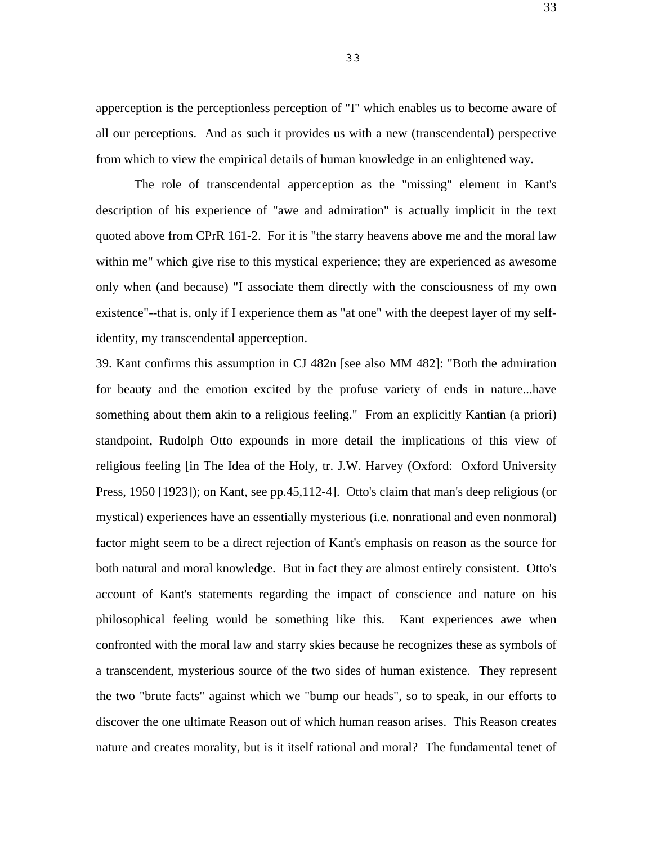apperception is the perceptionless perception of "I" which enables us to become aware of all our perceptions. And as such it provides us with a new (transcendental) perspective from which to view the empirical details of human knowledge in an enlightened way.

 The role of transcendental apperception as the "missing" element in Kant's description of his experience of "awe and admiration" is actually implicit in the text quoted above from CPrR 161-2. For it is "the starry heavens above me and the moral law within me" which give rise to this mystical experience; they are experienced as awesome only when (and because) "I associate them directly with the consciousness of my own existence"--that is, only if I experience them as "at one" with the deepest layer of my selfidentity, my transcendental apperception.

39. Kant confirms this assumption in CJ 482n [see also MM 482]: "Both the admiration for beauty and the emotion excited by the profuse variety of ends in nature...have something about them akin to a religious feeling." From an explicitly Kantian (a priori) standpoint, Rudolph Otto expounds in more detail the implications of this view of religious feeling [in The Idea of the Holy, tr. J.W. Harvey (Oxford: Oxford University Press, 1950 [1923]); on Kant, see pp.45,112-4]. Otto's claim that man's deep religious (or mystical) experiences have an essentially mysterious (i.e. nonrational and even nonmoral) factor might seem to be a direct rejection of Kant's emphasis on reason as the source for both natural and moral knowledge. But in fact they are almost entirely consistent. Otto's account of Kant's statements regarding the impact of conscience and nature on his philosophical feeling would be something like this. Kant experiences awe when confronted with the moral law and starry skies because he recognizes these as symbols of a transcendent, mysterious source of the two sides of human existence. They represent the two "brute facts" against which we "bump our heads", so to speak, in our efforts to discover the one ultimate Reason out of which human reason arises. This Reason creates nature and creates morality, but is it itself rational and moral? The fundamental tenet of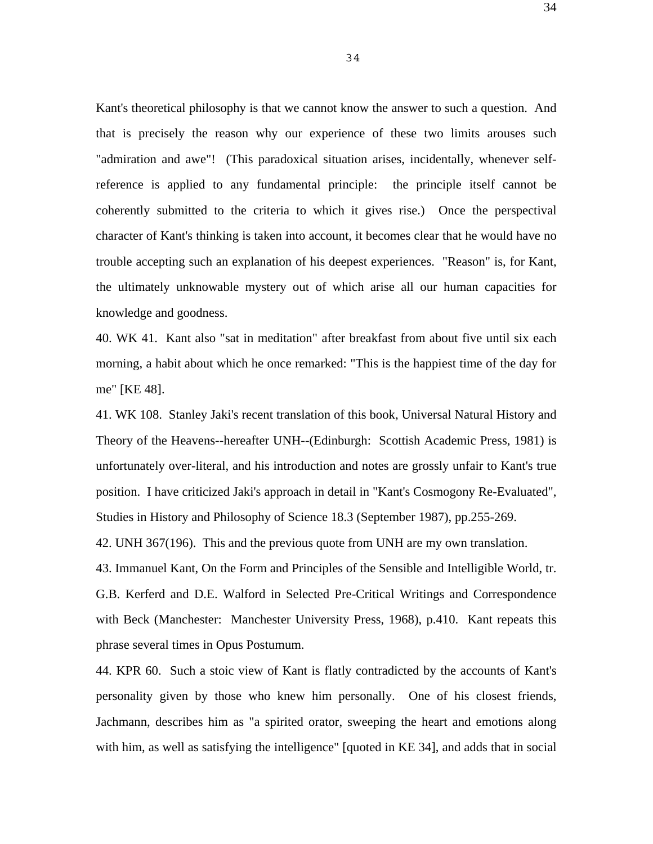Kant's theoretical philosophy is that we cannot know the answer to such a question. And that is precisely the reason why our experience of these two limits arouses such "admiration and awe"! (This paradoxical situation arises, incidentally, whenever selfreference is applied to any fundamental principle: the principle itself cannot be coherently submitted to the criteria to which it gives rise.) Once the perspectival character of Kant's thinking is taken into account, it becomes clear that he would have no trouble accepting such an explanation of his deepest experiences. "Reason" is, for Kant, the ultimately unknowable mystery out of which arise all our human capacities for knowledge and goodness.

40. WK 41. Kant also "sat in meditation" after breakfast from about five until six each morning, a habit about which he once remarked: "This is the happiest time of the day for me" [KE 48].

41. WK 108. Stanley Jaki's recent translation of this book, Universal Natural History and Theory of the Heavens--hereafter UNH--(Edinburgh: Scottish Academic Press, 1981) is unfortunately over-literal, and his introduction and notes are grossly unfair to Kant's true position. I have criticized Jaki's approach in detail in "Kant's Cosmogony Re-Evaluated", Studies in History and Philosophy of Science 18.3 (September 1987), pp.255-269.

42. UNH 367(196). This and the previous quote from UNH are my own translation.

43. Immanuel Kant, On the Form and Principles of the Sensible and Intelligible World, tr. G.B. Kerferd and D.E. Walford in Selected Pre-Critical Writings and Correspondence with Beck (Manchester: Manchester University Press, 1968), p.410. Kant repeats this phrase several times in Opus Postumum.

44. KPR 60. Such a stoic view of Kant is flatly contradicted by the accounts of Kant's personality given by those who knew him personally. One of his closest friends, Jachmann, describes him as "a spirited orator, sweeping the heart and emotions along with him, as well as satisfying the intelligence" [quoted in KE 34], and adds that in social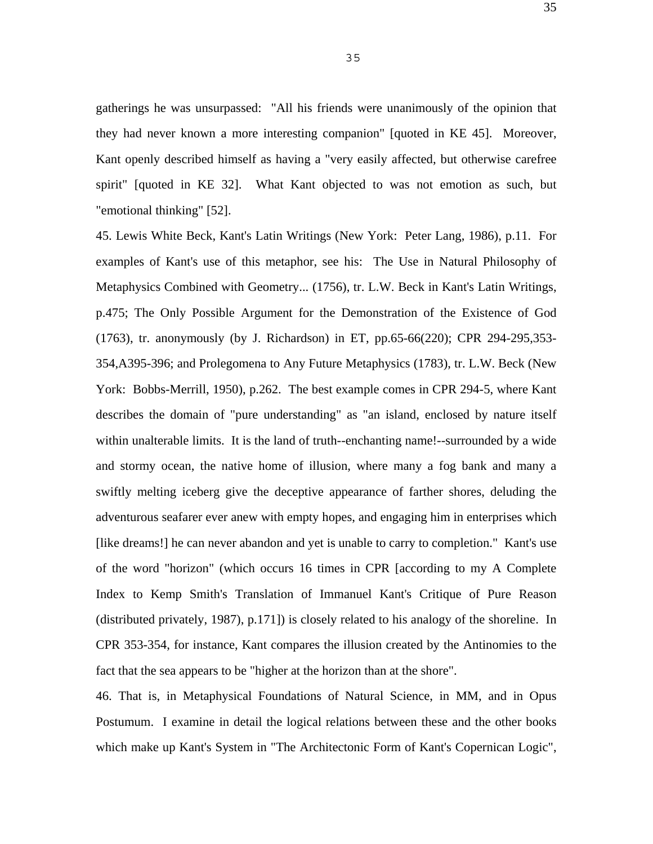gatherings he was unsurpassed: "All his friends were unanimously of the opinion that they had never known a more interesting companion" [quoted in KE 45]. Moreover, Kant openly described himself as having a "very easily affected, but otherwise carefree spirit" [quoted in KE 32]. What Kant objected to was not emotion as such, but "emotional thinking" [52].

45. Lewis White Beck, Kant's Latin Writings (New York: Peter Lang, 1986), p.11. For examples of Kant's use of this metaphor, see his: The Use in Natural Philosophy of Metaphysics Combined with Geometry... (1756), tr. L.W. Beck in Kant's Latin Writings, p.475; The Only Possible Argument for the Demonstration of the Existence of God (1763), tr. anonymously (by J. Richardson) in ET, pp.65-66(220); CPR 294-295,353- 354,A395-396; and Prolegomena to Any Future Metaphysics (1783), tr. L.W. Beck (New York: Bobbs-Merrill, 1950), p.262. The best example comes in CPR 294-5, where Kant describes the domain of "pure understanding" as "an island, enclosed by nature itself within unalterable limits. It is the land of truth--enchanting name!--surrounded by a wide and stormy ocean, the native home of illusion, where many a fog bank and many a swiftly melting iceberg give the deceptive appearance of farther shores, deluding the adventurous seafarer ever anew with empty hopes, and engaging him in enterprises which [like dreams!] he can never abandon and yet is unable to carry to completion." Kant's use of the word "horizon" (which occurs 16 times in CPR [according to my A Complete Index to Kemp Smith's Translation of Immanuel Kant's Critique of Pure Reason (distributed privately, 1987), p.171]) is closely related to his analogy of the shoreline. In CPR 353-354, for instance, Kant compares the illusion created by the Antinomies to the fact that the sea appears to be "higher at the horizon than at the shore".

46. That is, in Metaphysical Foundations of Natural Science, in MM, and in Opus Postumum. I examine in detail the logical relations between these and the other books which make up Kant's System in "The Architectonic Form of Kant's Copernican Logic",